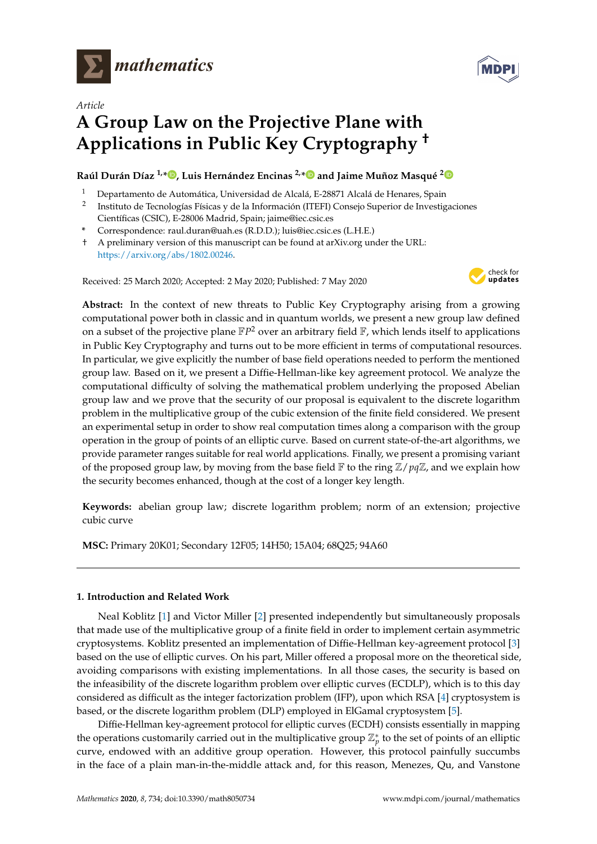



# *Article* **A Group Law on the Projective Plane with Applications in Public Key Cryptography †**

### **Raúl Durán Díaz 1,[\\*](https://orcid.org/0000-0001-6217-4768) , Luis Hernández Encinas 2,[\\*](https://orcid.org/0000-0001-6980-2683) and Jaime Muñoz Masqué [2](https://orcid.org/0000-0002-3734-1699)**

- <sup>1</sup> Departamento de Automática, Universidad de Alcalá, E-28871 Alcalá de Henares, Spain
- 2 Instituto de Tecnologías Físicas y de la Información (ITEFI) Consejo Superior de Investigaciones Científicas (CSIC), E-28006 Madrid, Spain; jaime@iec.csic.es
- **\*** Correspondence: raul.duran@uah.es (R.D.D.); luis@iec.csic.es (L.H.E.)
- † A preliminary version of this manuscript can be found at arXiv.org under the URL: [https://arxiv.org/abs/1802.00246.](https://arxiv.org/abs/1802.00246)

Received: 25 March 2020; Accepted: 2 May 2020; Published: 7 May 2020



**Abstract:** In the context of new threats to Public Key Cryptography arising from a growing computational power both in classic and in quantum worlds, we present a new group law defined on a subset of the projective plane  $\mathbb{F}P^2$  over an arbitrary field  $\mathbb{F}$ , which lends itself to applications in Public Key Cryptography and turns out to be more efficient in terms of computational resources. In particular, we give explicitly the number of base field operations needed to perform the mentioned group law. Based on it, we present a Diffie-Hellman-like key agreement protocol. We analyze the computational difficulty of solving the mathematical problem underlying the proposed Abelian group law and we prove that the security of our proposal is equivalent to the discrete logarithm problem in the multiplicative group of the cubic extension of the finite field considered. We present an experimental setup in order to show real computation times along a comparison with the group operation in the group of points of an elliptic curve. Based on current state-of-the-art algorithms, we provide parameter ranges suitable for real world applications. Finally, we present a promising variant of the proposed group law, by moving from the base field  $\mathbb F$  to the ring  $\mathbb Z/pq\mathbb Z$ , and we explain how the security becomes enhanced, though at the cost of a longer key length.

**Keywords:** abelian group law; discrete logarithm problem; norm of an extension; projective cubic curve

**MSC:** Primary 20K01; Secondary 12F05; 14H50; 15A04; 68Q25; 94A60

#### **1. Introduction and Related Work**

Neal Koblitz [\[1\]](#page-17-0) and Victor Miller [\[2\]](#page-17-1) presented independently but simultaneously proposals that made use of the multiplicative group of a finite field in order to implement certain asymmetric cryptosystems. Koblitz presented an implementation of Diffie-Hellman key-agreement protocol [\[3\]](#page-17-2) based on the use of elliptic curves. On his part, Miller offered a proposal more on the theoretical side, avoiding comparisons with existing implementations. In all those cases, the security is based on the infeasibility of the discrete logarithm problem over elliptic curves (ECDLP), which is to this day considered as difficult as the integer factorization problem (IFP), upon which RSA [\[4\]](#page-17-3) cryptosystem is based, or the discrete logarithm problem (DLP) employed in ElGamal cryptosystem [\[5\]](#page-17-4).

Diffie-Hellman key-agreement protocol for elliptic curves (ECDH) consists essentially in mapping the operations customarily carried out in the multiplicative group  $\mathbb{Z}_p^*$  to the set of points of an elliptic curve, endowed with an additive group operation. However, this protocol painfully succumbs in the face of a plain man-in-the-middle attack and, for this reason, Menezes, Qu, and Vanstone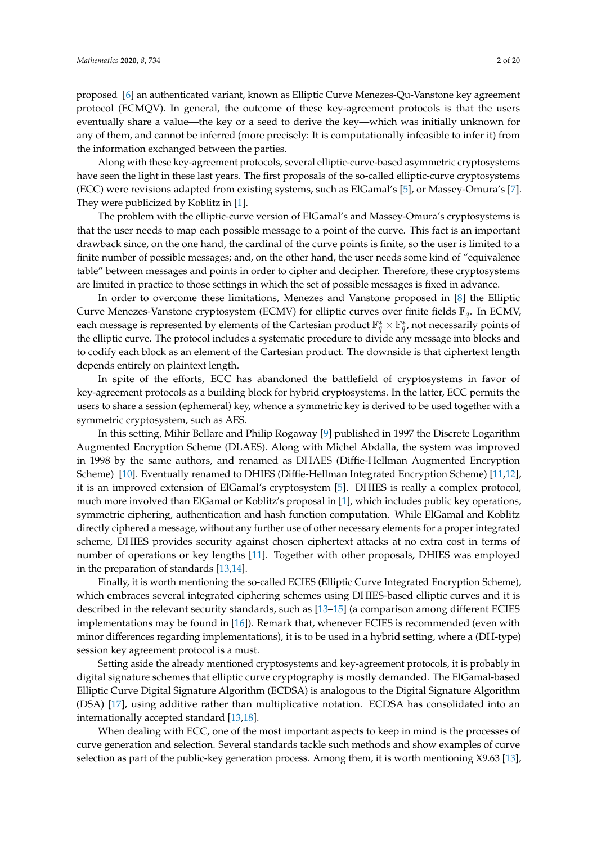proposed [\[6\]](#page-17-5) an authenticated variant, known as Elliptic Curve Menezes-Qu-Vanstone key agreement protocol (ECMQV). In general, the outcome of these key-agreement protocols is that the users eventually share a value—the key or a seed to derive the key—which was initially unknown for any of them, and cannot be inferred (more precisely: It is computationally infeasible to infer it) from the information exchanged between the parties.

Along with these key-agreement protocols, several elliptic-curve-based asymmetric cryptosystems have seen the light in these last years. The first proposals of the so-called elliptic-curve cryptosystems (ECC) were revisions adapted from existing systems, such as ElGamal's [\[5\]](#page-17-4), or Massey-Omura's [\[7\]](#page-17-6). They were publicized by Koblitz in [\[1\]](#page-17-0).

The problem with the elliptic-curve version of ElGamal's and Massey-Omura's cryptosystems is that the user needs to map each possible message to a point of the curve. This fact is an important drawback since, on the one hand, the cardinal of the curve points is finite, so the user is limited to a finite number of possible messages; and, on the other hand, the user needs some kind of "equivalence table" between messages and points in order to cipher and decipher. Therefore, these cryptosystems are limited in practice to those settings in which the set of possible messages is fixed in advance.

In order to overcome these limitations, Menezes and Vanstone proposed in [\[8\]](#page-17-7) the Elliptic Curve Menezes-Vanstone cryptosystem (ECMV) for elliptic curves over finite fields F*q*. In ECMV, each message is represented by elements of the Cartesian product  $\mathbb{F}_q^* \times \mathbb{F}_q^*$ , not necessarily points of the elliptic curve. The protocol includes a systematic procedure to divide any message into blocks and to codify each block as an element of the Cartesian product. The downside is that ciphertext length depends entirely on plaintext length.

In spite of the efforts, ECC has abandoned the battlefield of cryptosystems in favor of key-agreement protocols as a building block for hybrid cryptosystems. In the latter, ECC permits the users to share a session (ephemeral) key, whence a symmetric key is derived to be used together with a symmetric cryptosystem, such as AES.

In this setting, Mihir Bellare and Philip Rogaway [\[9\]](#page-17-8) published in 1997 the Discrete Logarithm Augmented Encryption Scheme (DLAES). Along with Michel Abdalla, the system was improved in 1998 by the same authors, and renamed as DHAES (Diffie-Hellman Augmented Encryption Scheme) [\[10\]](#page-17-9). Eventually renamed to DHIES (Diffie-Hellman Integrated Encryption Scheme) [\[11,](#page-17-10)[12\]](#page-17-11), it is an improved extension of ElGamal's cryptosystem [\[5\]](#page-17-4). DHIES is really a complex protocol, much more involved than ElGamal or Koblitz's proposal in [\[1\]](#page-17-0), which includes public key operations, symmetric ciphering, authentication and hash function computation. While ElGamal and Koblitz directly ciphered a message, without any further use of other necessary elements for a proper integrated scheme, DHIES provides security against chosen ciphertext attacks at no extra cost in terms of number of operations or key lengths [\[11\]](#page-17-10). Together with other proposals, DHIES was employed in the preparation of standards [\[13,](#page-17-12)[14\]](#page-17-13).

Finally, it is worth mentioning the so-called ECIES (Elliptic Curve Integrated Encryption Scheme), which embraces several integrated ciphering schemes using DHIES-based elliptic curves and it is described in the relevant security standards, such as [\[13](#page-17-12)[–15\]](#page-17-14) (a comparison among different ECIES implementations may be found in [\[16\]](#page-17-15)). Remark that, whenever ECIES is recommended (even with minor differences regarding implementations), it is to be used in a hybrid setting, where a (DH-type) session key agreement protocol is a must.

Setting aside the already mentioned cryptosystems and key-agreement protocols, it is probably in digital signature schemes that elliptic curve cryptography is mostly demanded. The ElGamal-based Elliptic Curve Digital Signature Algorithm (ECDSA) is analogous to the Digital Signature Algorithm (DSA) [\[17\]](#page-17-16), using additive rather than multiplicative notation. ECDSA has consolidated into an internationally accepted standard [\[13](#page-17-12)[,18\]](#page-17-17).

When dealing with ECC, one of the most important aspects to keep in mind is the processes of curve generation and selection. Several standards tackle such methods and show examples of curve selection as part of the public-key generation process. Among them, it is worth mentioning X9.63 [\[13\]](#page-17-12),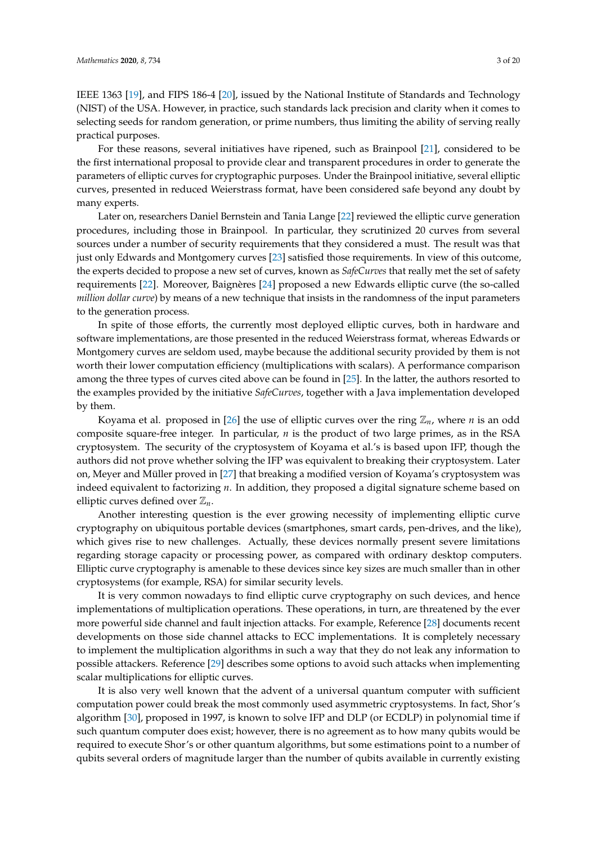IEEE 1363 [\[19\]](#page-17-18), and FIPS 186-4 [\[20\]](#page-17-19), issued by the National Institute of Standards and Technology (NIST) of the USA. However, in practice, such standards lack precision and clarity when it comes to selecting seeds for random generation, or prime numbers, thus limiting the ability of serving really practical purposes.

For these reasons, several initiatives have ripened, such as Brainpool [\[21\]](#page-17-20), considered to be the first international proposal to provide clear and transparent procedures in order to generate the parameters of elliptic curves for cryptographic purposes. Under the Brainpool initiative, several elliptic curves, presented in reduced Weierstrass format, have been considered safe beyond any doubt by many experts.

Later on, researchers Daniel Bernstein and Tania Lange [\[22\]](#page-18-0) reviewed the elliptic curve generation procedures, including those in Brainpool. In particular, they scrutinized 20 curves from several sources under a number of security requirements that they considered a must. The result was that just only Edwards and Montgomery curves [\[23\]](#page-18-1) satisfied those requirements. In view of this outcome, the experts decided to propose a new set of curves, known as *SafeCurves* that really met the set of safety requirements [\[22\]](#page-18-0). Moreover, Baignères [\[24\]](#page-18-2) proposed a new Edwards elliptic curve (the so-called *million dollar curve*) by means of a new technique that insists in the randomness of the input parameters to the generation process.

In spite of those efforts, the currently most deployed elliptic curves, both in hardware and software implementations, are those presented in the reduced Weierstrass format, whereas Edwards or Montgomery curves are seldom used, maybe because the additional security provided by them is not worth their lower computation efficiency (multiplications with scalars). A performance comparison among the three types of curves cited above can be found in [\[25\]](#page-18-3). In the latter, the authors resorted to the examples provided by the initiative *SafeCurves*, together with a Java implementation developed by them.

Koyama et al. proposed in [\[26\]](#page-18-4) the use of elliptic curves over the ring  $\mathbb{Z}_n$ , where *n* is an odd composite square-free integer. In particular, *n* is the product of two large primes, as in the RSA cryptosystem. The security of the cryptosystem of Koyama et al.'s is based upon IFP, though the authors did not prove whether solving the IFP was equivalent to breaking their cryptosystem. Later on, Meyer and Müller proved in [\[27\]](#page-18-5) that breaking a modified version of Koyama's cryptosystem was indeed equivalent to factorizing *n*. In addition, they proposed a digital signature scheme based on elliptic curves defined over  $\mathbb{Z}_n$ .

Another interesting question is the ever growing necessity of implementing elliptic curve cryptography on ubiquitous portable devices (smartphones, smart cards, pen-drives, and the like), which gives rise to new challenges. Actually, these devices normally present severe limitations regarding storage capacity or processing power, as compared with ordinary desktop computers. Elliptic curve cryptography is amenable to these devices since key sizes are much smaller than in other cryptosystems (for example, RSA) for similar security levels.

It is very common nowadays to find elliptic curve cryptography on such devices, and hence implementations of multiplication operations. These operations, in turn, are threatened by the ever more powerful side channel and fault injection attacks. For example, Reference [\[28\]](#page-18-6) documents recent developments on those side channel attacks to ECC implementations. It is completely necessary to implement the multiplication algorithms in such a way that they do not leak any information to possible attackers. Reference [\[29\]](#page-18-7) describes some options to avoid such attacks when implementing scalar multiplications for elliptic curves.

It is also very well known that the advent of a universal quantum computer with sufficient computation power could break the most commonly used asymmetric cryptosystems. In fact, Shor's algorithm [\[30\]](#page-18-8), proposed in 1997, is known to solve IFP and DLP (or ECDLP) in polynomial time if such quantum computer does exist; however, there is no agreement as to how many qubits would be required to execute Shor's or other quantum algorithms, but some estimations point to a number of qubits several orders of magnitude larger than the number of qubits available in currently existing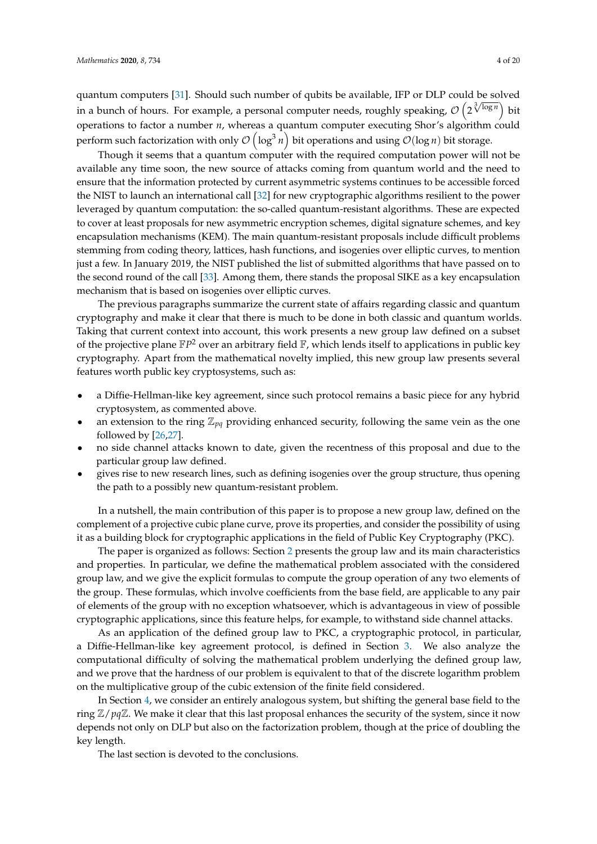quantum computers [\[31\]](#page-18-9). Should such number of qubits be available, IFP or DLP could be solved in a bunch of hours. For example, a personal computer needs, roughly speaking,  $\mathcal{O}\left(2^{\sqrt[3]{\log n}}\right)$  bit operations to factor a number *n*, whereas a quantum computer executing Shor's algorithm could perform such factorization with only  $\mathcal{O}\left(\log^3 n\right)$  bit operations and using  $\mathcal{O}(\log n)$  bit storage.

Though it seems that a quantum computer with the required computation power will not be available any time soon, the new source of attacks coming from quantum world and the need to ensure that the information protected by current asymmetric systems continues to be accessible forced the NIST to launch an international call [\[32\]](#page-18-10) for new cryptographic algorithms resilient to the power leveraged by quantum computation: the so-called quantum-resistant algorithms. These are expected to cover at least proposals for new asymmetric encryption schemes, digital signature schemes, and key encapsulation mechanisms (KEM). The main quantum-resistant proposals include difficult problems stemming from coding theory, lattices, hash functions, and isogenies over elliptic curves, to mention just a few. In January 2019, the NIST published the list of submitted algorithms that have passed on to the second round of the call [\[33\]](#page-18-11). Among them, there stands the proposal SIKE as a key encapsulation mechanism that is based on isogenies over elliptic curves.

The previous paragraphs summarize the current state of affairs regarding classic and quantum cryptography and make it clear that there is much to be done in both classic and quantum worlds. Taking that current context into account, this work presents a new group law defined on a subset of the projective plane  $\mathbb{F}P^2$  over an arbitrary field  $\mathbb{F}$ , which lends itself to applications in public key cryptography. Apart from the mathematical novelty implied, this new group law presents several features worth public key cryptosystems, such as:

- a Diffie-Hellman-like key agreement, since such protocol remains a basic piece for any hybrid cryptosystem, as commented above.
- an extension to the ring  $\mathbb{Z}_{pq}$  providing enhanced security, following the same vein as the one followed by [\[26](#page-18-4)[,27\]](#page-18-5).
- no side channel attacks known to date, given the recentness of this proposal and due to the particular group law defined.
- gives rise to new research lines, such as defining isogenies over the group structure, thus opening the path to a possibly new quantum-resistant problem.

In a nutshell, the main contribution of this paper is to propose a new group law, defined on the complement of a projective cubic plane curve, prove its properties, and consider the possibility of using it as a building block for cryptographic applications in the field of Public Key Cryptography (PKC).

The paper is organized as follows: Section [2](#page-4-0) presents the group law and its main characteristics and properties. In particular, we define the mathematical problem associated with the considered group law, and we give the explicit formulas to compute the group operation of any two elements of the group. These formulas, which involve coefficients from the base field, are applicable to any pair of elements of the group with no exception whatsoever, which is advantageous in view of possible cryptographic applications, since this feature helps, for example, to withstand side channel attacks.

As an application of the defined group law to PKC, a cryptographic protocol, in particular, a Diffie-Hellman-like key agreement protocol, is defined in Section [3.](#page-8-0) We also analyze the computational difficulty of solving the mathematical problem underlying the defined group law, and we prove that the hardness of our problem is equivalent to that of the discrete logarithm problem on the multiplicative group of the cubic extension of the finite field considered.

In Section [4,](#page-14-0) we consider an entirely analogous system, but shifting the general base field to the ring Z/*pq*Z. We make it clear that this last proposal enhances the security of the system, since it now depends not only on DLP but also on the factorization problem, though at the price of doubling the key length.

The last section is devoted to the conclusions.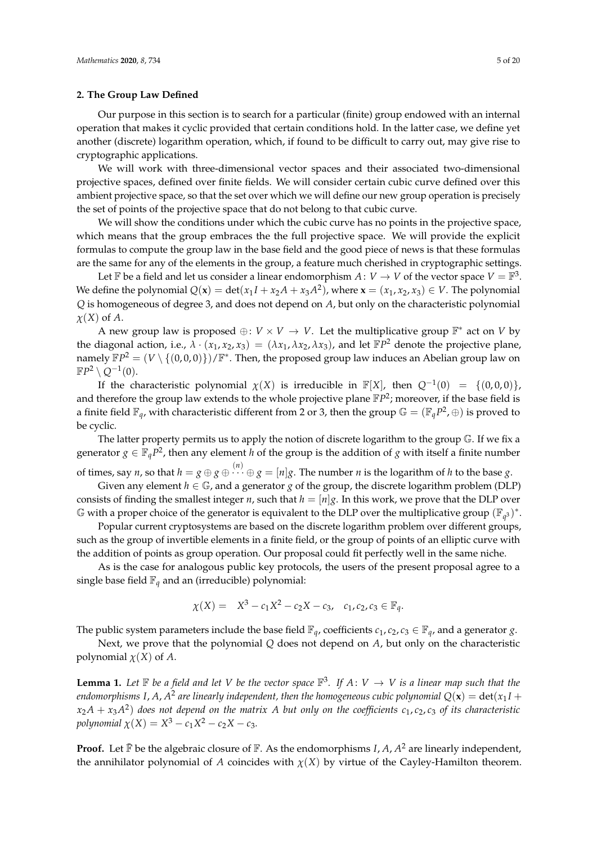#### <span id="page-4-0"></span>**2. The Group Law Defined**

Our purpose in this section is to search for a particular (finite) group endowed with an internal operation that makes it cyclic provided that certain conditions hold. In the latter case, we define yet another (discrete) logarithm operation, which, if found to be difficult to carry out, may give rise to cryptographic applications.

We will work with three-dimensional vector spaces and their associated two-dimensional projective spaces, defined over finite fields. We will consider certain cubic curve defined over this ambient projective space, so that the set over which we will define our new group operation is precisely the set of points of the projective space that do not belong to that cubic curve.

We will show the conditions under which the cubic curve has no points in the projective space, which means that the group embraces the the full projective space. We will provide the explicit formulas to compute the group law in the base field and the good piece of news is that these formulas are the same for any of the elements in the group, a feature much cherished in cryptographic settings.

Let  $\mathbb F$  be a field and let us consider a linear endomorphism  $A: V \to V$  of the vector space  $V = \mathbb F^3$ . We define the polynomial  $Q(x) = det(x_1I + x_2A + x_3A^2)$ , where  $x = (x_1, x_2, x_3) \in V$ . The polynomial *Q* is homogeneous of degree 3, and does not depend on *A*, but only on the characteristic polynomial *χ*(*X*) of *A*.

A new group law is proposed  $\oplus: V \times V \to V$ . Let the multiplicative group  $\mathbb{F}^*$  act on *V* by the diagonal action, i.e.,  $\lambda \cdot (x_1, x_2, x_3) = (\lambda x_1, \lambda x_2, \lambda x_3)$ , and let  $\mathbb{F}P^2$  denote the projective plane, namely  $\mathbb{F}P^2 = (V \setminus \{(0,0,0)\})/\mathbb{F}^*$ . Then, the proposed group law induces an Abelian group law on  $\mathbb{F}P^2 \setminus Q^{-1}(0).$ 

If the characteristic polynomial  $\chi(X)$  is irreducible in  $\mathbb{F}[X]$ , then  $Q^{-1}(0) = \{(0,0,0)\}\$ , and therefore the group law extends to the whole projective plane  $\mathbb{F}P^2$ ; moreover, if the base field is a finite field  $\mathbb{F}_q$ , with characteristic different from 2 or 3, then the group  $\mathbb{G} = (\mathbb{F}_q P^2, \oplus)$  is proved to be cyclic.

The latter property permits us to apply the notion of discrete logarithm to the group G. If we fix a generator  $g \in \mathbb{F}_q P^2$ , then any element *h* of the group is the addition of *g* with itself a finite number of times, say *n*, so that  $h = g \oplus g \oplus \cdots \oplus g = [n]g$ . The number *n* is the logarithm of *h* to the base *g*.

Given any element  $h \in \mathbb{G}$ , and a generator *g* of the group, the discrete logarithm problem (DLP) consists of finding the smallest integer *n*, such that  $h = [n]g$ . In this work, we prove that the DLP over  $\mathbb G$  with a proper choice of the generator is equivalent to the DLP over the multiplicative group  $(\mathbb F_{q^3})^*$ .

Popular current cryptosystems are based on the discrete logarithm problem over different groups, such as the group of invertible elements in a finite field, or the group of points of an elliptic curve with the addition of points as group operation. Our proposal could fit perfectly well in the same niche.

As is the case for analogous public key protocols, the users of the present proposal agree to a single base field  $\mathbb{F}_q$  and an (irreducible) polynomial:

$$
\chi(X) = X^3 - c_1 X^2 - c_2 X - c_3, \quad c_1, c_2, c_3 \in \mathbb{F}_q.
$$

The public system parameters include the base field  $\mathbb{F}_q$ , coefficients  $c_1$ ,  $c_2$ ,  $c_3 \in \mathbb{F}_q$ , and a generator *g*.

Next, we prove that the polynomial *Q* does not depend on *A*, but only on the characteristic polynomial  $\chi(X)$  of A.

<span id="page-4-1"></span>**Lemma 1.** Let  $\mathbb F$  be a field and let V be the vector space  $\mathbb F^3$ . If  $A: V \to V$  is a linear map such that the endomorphisms I, A, A $^2$  are linearly independent, then the homogeneous cubic polynomial  $Q(\mathbf{x})=\det(x_1I+\mathbf{x})$  $(x_2A + x_3A^2)$  does not depend on the matrix  $A$  but only on the coefficients  $c_1$ ,  $c_2$ ,  $c_3$  of its characteristic *polynomial*  $\chi(X) = X^3 - c_1 X^2 - c_2 X - c_3$ .

**Proof.** Let  $\bar{F}$  be the algebraic closure of  $\bar{F}$ . As the endomorphisms *I*, *A*, *A*<sup>2</sup> are linearly independent, the annihilator polynomial of *A* coincides with  $\chi$ (*X*) by virtue of the Cayley-Hamilton theorem.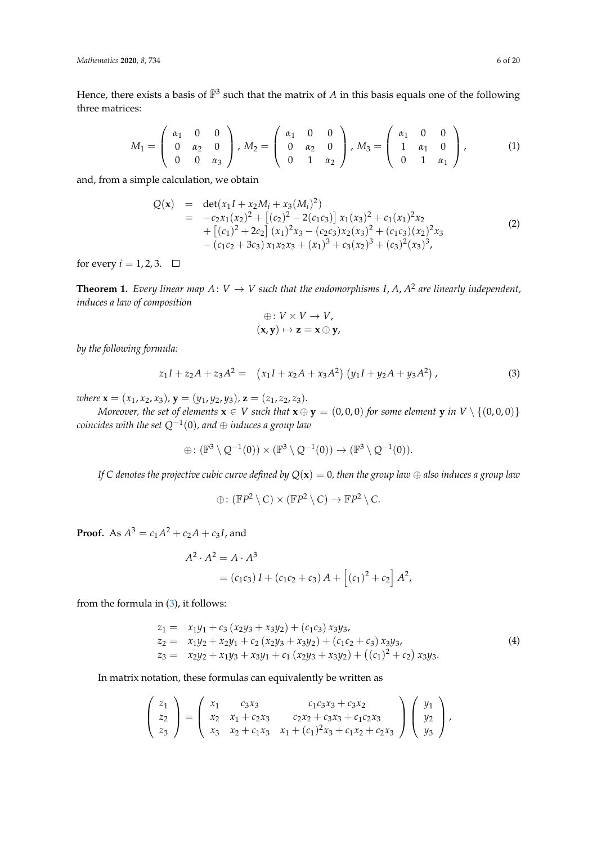Hence, there exists a basis of  $\bar{F}^3$  such that the matrix of *A* in this basis equals one of the following three matrices:

<span id="page-5-4"></span>
$$
M_1 = \left(\begin{array}{ccc} \alpha_1 & 0 & 0 \\ 0 & \alpha_2 & 0 \\ 0 & 0 & \alpha_3 \end{array}\right), M_2 = \left(\begin{array}{ccc} \alpha_1 & 0 & 0 \\ 0 & \alpha_2 & 0 \\ 0 & 1 & \alpha_2 \end{array}\right), M_3 = \left(\begin{array}{ccc} \alpha_1 & 0 & 0 \\ 1 & \alpha_1 & 0 \\ 0 & 1 & \alpha_1 \end{array}\right), \tag{1}
$$

and, from a simple calculation, we obtain

<span id="page-5-1"></span>
$$
Q(\mathbf{x}) = \det(x_1I + x_2M_i + x_3(M_i)^2)
$$
  
=  $-c_2x_1(x_2)^2 + [(c_2)^2 - 2(c_1c_3)]x_1(x_3)^2 + c_1(x_1)^2x_2$   
+  $[(c_1)^2 + 2c_2](x_1)^2x_3 - (c_2c_3)x_2(x_3)^2 + (c_1c_3)(x_2)^2x_3$   
-  $(c_1c_2 + 3c_3)x_1x_2x_3 + (x_1)^3 + c_3(x_2)^3 + (c_3)^2(x_3)^3,$  (2)

for every  $i = 1, 2, 3$ .  $\Box$ 

<span id="page-5-3"></span>**Theorem 1.** *Every linear map*  $A: V \to V$  *such that the endomorphisms*  $I, A, A^2$  *are linearly independent*, *induces a law of composition*

$$
\oplus: V \times V \to V,
$$
  

$$
(\mathbf{x}, \mathbf{y}) \mapsto \mathbf{z} = \mathbf{x} \oplus \mathbf{y},
$$

*by the following formula:*

<span id="page-5-0"></span>
$$
z_1I + z_2A + z_3A^2 = (x_1I + x_2A + x_3A^2)(y_1I + y_2A + y_3A^2),
$$
\n(3)

*where*  $\mathbf{x} = (x_1, x_2, x_3)$ ,  $\mathbf{y} = (y_1, y_2, y_3)$ ,  $\mathbf{z} = (z_1, z_2, z_3)$ .

*Moreover, the set of elements*  $\mathbf{x} \in V$  *such that*  $\mathbf{x} \oplus \mathbf{y} = (0,0,0)$  *for some element*  $\mathbf{y}$  *in*  $V \setminus \{(0,0,0)\}$ *coincides with the set Q*−<sup>1</sup> (0)*, and* ⊕ *induces a group law*

$$
\oplus \colon (\mathbb{F}^3 \setminus Q^{-1}(0)) \times (\mathbb{F}^3 \setminus Q^{-1}(0)) \to (\mathbb{F}^3 \setminus Q^{-1}(0)).
$$

*If C denotes the projective cubic curve defined by*  $Q(x) = 0$ *, then the group law*  $\oplus$  *also induces a group law* 

$$
\oplus: (\mathbb{F}P^2 \setminus C) \times (\mathbb{F}P^2 \setminus C) \to \mathbb{F}P^2 \setminus C.
$$

**Proof.** As  $A^3 = c_1 A^2 + c_2 A + c_3 I$ , and

$$
A^{2} \cdot A^{2} = A \cdot A^{3}
$$
  
=  $(c_{1}c_{3}) I + (c_{1}c_{2} + c_{3}) A + [(c_{1})^{2} + c_{2}] A^{2},$ 

from the formula in [\(3\)](#page-5-0), it follows:

<span id="page-5-2"></span>
$$
z_1 = x_1y_1 + c_3 (x_2y_3 + x_3y_2) + (c_1c_3) x_3y_3,
$$
  
\n
$$
z_2 = x_1y_2 + x_2y_1 + c_2 (x_2y_3 + x_3y_2) + (c_1c_2 + c_3) x_3y_3,
$$
  
\n
$$
z_3 = x_2y_2 + x_1y_3 + x_3y_1 + c_1 (x_2y_3 + x_3y_2) + ((c_1)^2 + c_2) x_3y_3.
$$
\n(4)

In matrix notation, these formulas can equivalently be written as

$$
\begin{pmatrix} z_1 \ z_2 \ z_3 \end{pmatrix} = \begin{pmatrix} x_1 & c_3x_3 & c_1c_3x_3 + c_3x_2 \ x_2 & x_1 + c_2x_3 & c_2x_2 + c_3x_3 + c_1c_2x_3 \ x_3 & x_2 + c_1x_3 & x_1 + (c_1)^2x_3 + c_1x_2 + c_2x_3 \end{pmatrix} \begin{pmatrix} y_1 \ y_2 \ y_3 \end{pmatrix},
$$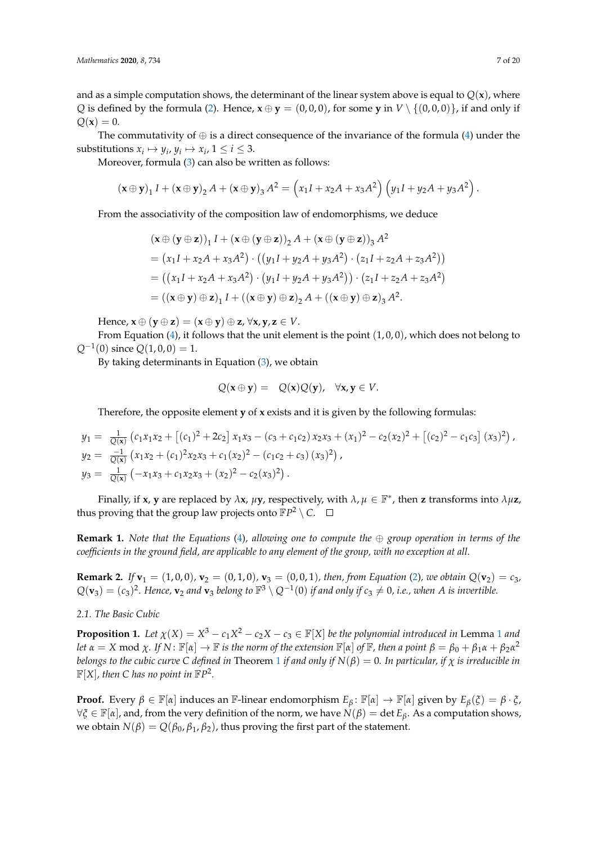and as a simple computation shows, the determinant of the linear system above is equal to  $Q(x)$ , where *Q* is defined by the formula [\(2\)](#page-5-1). Hence,  $\mathbf{x} \oplus \mathbf{y} = (0,0,0)$ , for some **y** in  $V \setminus \{(0,0,0)\}$ , if and only if  $Q(x) = 0.$ 

The commutativity of  $\oplus$  is a direct consequence of the invariance of the formula [\(4\)](#page-5-2) under the substitutions  $x_i \mapsto y_i$ ,  $y_i \mapsto x_i$ ,  $1 \le i \le 3$ .

Moreover, formula [\(3\)](#page-5-0) can also be written as follows:

$$
(\mathbf{x} \oplus \mathbf{y})_1 I + (\mathbf{x} \oplus \mathbf{y})_2 A + (\mathbf{x} \oplus \mathbf{y})_3 A^2 = \left(x_1 I + x_2 A + x_3 A^2\right) \left(y_1 I + y_2 A + y_3 A^2\right).
$$

From the associativity of the composition law of endomorphisms, we deduce

$$
(\mathbf{x} \oplus (\mathbf{y} \oplus \mathbf{z}))_1 I + (\mathbf{x} \oplus (\mathbf{y} \oplus \mathbf{z}))_2 A + (\mathbf{x} \oplus (\mathbf{y} \oplus \mathbf{z}))_3 A^2
$$
  
=  $(x_1 I + x_2 A + x_3 A^2) \cdot ((y_1 I + y_2 A + y_3 A^2) \cdot (z_1 I + z_2 A + z_3 A^2))$   
=  $((x_1 I + x_2 A + x_3 A^2) \cdot (y_1 I + y_2 A + y_3 A^2)) \cdot (z_1 I + z_2 A + z_3 A^2)$   
=  $((\mathbf{x} \oplus \mathbf{y}) \oplus \mathbf{z})_1 I + ((\mathbf{x} \oplus \mathbf{y}) \oplus \mathbf{z})_2 A + ((\mathbf{x} \oplus \mathbf{y}) \oplus \mathbf{z})_3 A^2.$ 

Hence,  $\mathbf{x} \oplus (\mathbf{y} \oplus \mathbf{z}) = (\mathbf{x} \oplus \mathbf{y}) \oplus \mathbf{z}, \forall \mathbf{x}, \mathbf{y}, \mathbf{z} \in V$ .

From Equation  $(4)$ , it follows that the unit element is the point  $(1, 0, 0)$ , which does not belong to  $Q^{-1}(0)$  since  $Q(1,0,0) = 1$ .

By taking determinants in Equation [\(3\)](#page-5-0), we obtain

$$
Q(\mathbf{x} \oplus \mathbf{y}) = Q(\mathbf{x})Q(\mathbf{y}), \quad \forall \mathbf{x}, \mathbf{y} \in V.
$$

Therefore, the opposite element **y** of **x** exists and it is given by the following formulas:

$$
y_1 = \frac{1}{Q(x)} (c_1x_1x_2 + [(c_1)^2 + 2c_2] x_1x_3 - (c_3 + c_1c_2) x_2x_3 + (x_1)^2 - c_2(x_2)^2 + [(c_2)^2 - c_1c_3] (x_3)^2),
$$
  
\n
$$
y_2 = \frac{-1}{Q(x)} (x_1x_2 + (c_1)^2x_2x_3 + c_1(x_2)^2 - (c_1c_2 + c_3) (x_3)^2),
$$
  
\n
$$
y_3 = \frac{1}{Q(x)} (-x_1x_3 + c_1x_2x_3 + (x_2)^2 - c_2(x_3)^2).
$$

Finally, if **x**, **y** are replaced by  $\lambda$ **x**,  $\mu$ **y**, respectively, with  $\lambda$ ,  $\mu \in \mathbb{F}^*$ , then **z** transforms into  $\lambda \mu$ **z**, thus proving that the group law projects onto  $\mathbb{F}P^2 \setminus C$ .

**Remark 1.** *Note that the Equations* [\(4\)](#page-5-2), allowing one to compute the  $\oplus$  group operation in terms of the *coefficients in the ground field, are applicable to any element of the group, with no exception at all.*

**Remark 2.** *If*  $\mathbf{v}_1 = (1, 0, 0)$ *,*  $\mathbf{v}_2 = (0, 1, 0)$ *,*  $\mathbf{v}_3 = (0, 0, 1)$ *, then, from Equation* [\(2\)](#page-5-1)*, we obtain*  $Q(\mathbf{v}_2) = c_3$ *,*  $Q(\mathbf{v}_3) = (c_3)^2$ . Hence,  $\mathbf{v}_2$  and  $\mathbf{v}_3$  belong to  $\mathbb{F}^3 \setminus Q^{-1}(0)$  if and only if  $c_3 \neq 0$ , i.e., when A is invertible.

*2.1. The Basic Cubic*

<span id="page-6-0"></span>**Proposition [1](#page-4-1).** Let  $\chi(X) = X^3 - c_1X^2 - c_2X - c_3 \in \mathbb{F}[X]$  be the polynomial introduced in Lemma 1 and let  $\alpha = X \mod \chi$ . If  $N: \mathbb{F}[\alpha] \to \mathbb{F}$  is the norm of the extension  $\mathbb{F}[\alpha]$  of  $\mathbb{F}$ , then a point  $\beta = \beta_0 + \beta_1 \alpha + \beta_2 \alpha^2$ *belongs to the cubic curve C* defined in Theorem [1](#page-5-3) if and only if  $N(\beta) = 0$ . In particular, if  $\chi$  is irreducible in  $\mathbb{F}[X]$ *, then* C has no point in  $\mathbb{F}P^2$ *.* 

**Proof.** Every  $\beta \in \mathbb{F}[\alpha]$  induces an F-linear endomorphism  $E_\beta: \mathbb{F}[\alpha] \to \mathbb{F}[\alpha]$  given by  $E_\beta(\xi) = \beta \cdot \xi$ ,  $\forall \xi \in \mathbb{F}[\alpha]$ , and, from the very definition of the norm, we have  $N(\beta) = \det E_\beta$ . As a computation shows, we obtain *N*(*β*) =  $Q(\beta_0, \beta_1, \beta_2)$ , thus proving the first part of the statement.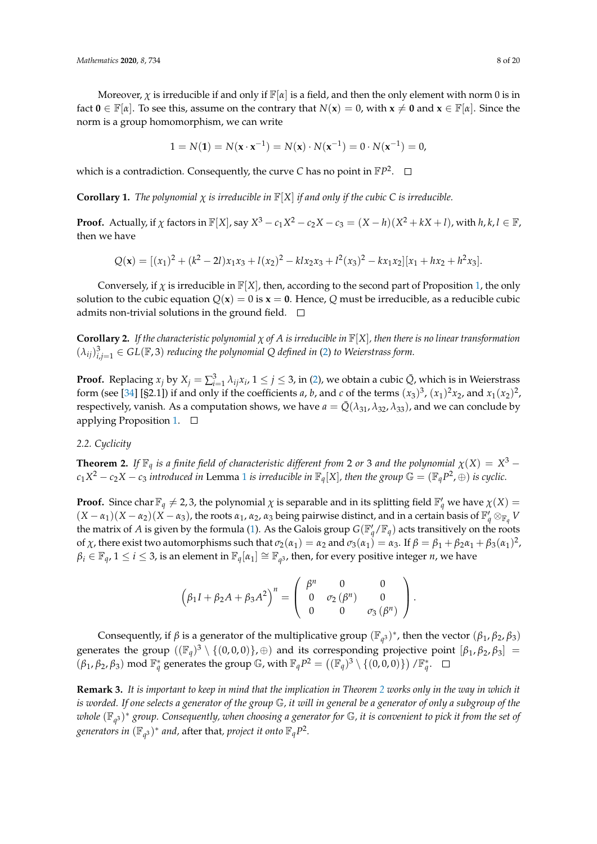Moreover,  $\chi$  is irreducible if and only if  $\mathbb{F}[\alpha]$  is a field, and then the only element with norm 0 is in fact  $\mathbf{0} \in \mathbb{F}[\alpha]$ . To see this, assume on the contrary that  $N(\mathbf{x}) = 0$ , with  $\mathbf{x} \neq \mathbf{0}$  and  $\mathbf{x} \in \mathbb{F}[\alpha]$ . Since the norm is a group homomorphism, we can write

$$
1 = N(1) = N(x \cdot x^{-1}) = N(x) \cdot N(x^{-1}) = 0 \cdot N(x^{-1}) = 0,
$$

which is a contradiction. Consequently, the curve  $C$  has no point in  $\mathbb{F}P^2$ .

**Corollary 1.** *The polynomial*  $\chi$  *is irreducible in*  $\mathbb{F}[X]$  *if and only if the cubic* C *is irreducible.* 

**Proof.** Actually, if  $\chi$  factors in  $\mathbb{F}[X]$ , say  $X^3 - c_1X^2 - c_2X - c_3 = (X - h)(X^2 + kX + l)$ , with  $h, k, l \in \mathbb{F}$ , then we have

$$
Q(\mathbf{x}) = [(x_1)^2 + (k^2 - 2l)x_1x_3 + l(x_2)^2 - klx_2x_3 + l^2(x_3)^2 - kx_1x_2][x_1 + hx_2 + h^2x_3].
$$

Conversely, if  $\chi$  is irreducible in  $\mathbb{F}[X]$ , then, according to the second part of Proposition [1,](#page-6-0) the only solution to the cubic equation  $Q(x) = 0$  is  $x = 0$ . Hence, Q must be irreducible, as a reducible cubic admits non-trivial solutions in the ground field.  $\square$ 

**Corollary 2.** *If the characteristic polynomial χ of A is irreducible in* F[*X*]*, then there is no linear transformation*  $(\lambda_{ij})_{i,j=1}^3 \in GL(\mathbb{F}, 3)$  *reducing the polynomial* Q defined in [\(2\)](#page-5-1) to Weierstrass form.

**Proof.** Replacing  $x_j$  by  $X_j = \sum_{i=1}^3 \lambda_{ij} x_i$ ,  $1 \le j \le 3$ , in [\(2\)](#page-5-1), we obtain a cubic  $\overline{Q}$ , which is in Weierstrass form (see [\[34\]](#page-18-12) [§2.1]) if and only if the coefficients *a*, *b*, and *c* of the terms  $(x_3)^3$ ,  $(x_1)^2x_2$ , and  $x_1(x_2)^2$ , respectively, vanish. As a computation shows, we have  $a = \overline{Q}(\lambda_{31}, \lambda_{32}, \lambda_{33})$ , and we can conclude by applying Proposition [1.](#page-6-0)  $\square$ 

#### *2.2. Cyclicity*

<span id="page-7-0"></span>**Theorem 2.** *If*  $\mathbb{F}_q$  *is a finite field of characteristic different from* 2 *or* 3 *and the polynomial*  $\chi(X) = X^3 c_1X^2 - c_2X - c_3$  $c_1X^2 - c_2X - c_3$  $c_1X^2 - c_2X - c_3$  *introduced in* Lemma 1 *is irreducible in*  $\mathbb{F}_q[X]$ *, then the group*  $\mathbb{G} = (\mathbb{F}_qP^2, \oplus)$  *is cyclic.* 

**Proof.** Since char  $\mathbb{F}_q \neq 2, 3$ , the polynomial  $\chi$  is separable and in its splitting field  $\mathbb{F}'_q$  we have  $\chi(X)$  $(X - \alpha_1)(X - \alpha_2)(X - \alpha_3)$ , the roots  $\alpha_1$ ,  $\alpha_2$ ,  $\alpha_3$  being pairwise distinct, and in a certain basis of  $\mathbb{F}_q' \otimes_{\mathbb{F}_q} V$ the matrix of *A* is given by the formula [\(1\)](#page-5-4). As the Galois group  $G(\mathbb{F}_q'/\mathbb{F}_q)$  acts transitively on the roots of *χ*, there exist two automorphisms such that  $\sigma_2(\alpha_1) = \alpha_2$  and  $\sigma_3(\alpha_1) = \alpha_3$ . If  $\beta = \beta_1 + \beta_2\alpha_1 + \beta_3(\alpha_1)^2$ ,  $\beta_i \in \mathbb{F}_q$ ,  $1 \le i \le 3$ , is an element in  $\mathbb{F}_q[\alpha_1] \cong \mathbb{F}_{q^3}$ , then, for every positive integer *n*, we have

$$
(\beta_1 I + \beta_2 A + \beta_3 A^2)^n = \begin{pmatrix} \beta^n & 0 & 0 \\ 0 & \sigma_2(\beta^n) & 0 \\ 0 & 0 & \sigma_3(\beta^n) \end{pmatrix}.
$$

Consequently, if  $\beta$  is a generator of the multiplicative group  $(\mathbb{F}_{q^3})^*$ , then the vector  $(\beta_1, \beta_2, \beta_3)$ generates the group  $((\mathbb{F}_q)^3 \setminus \{(0,0,0)\},\oplus)$  and its corresponding projective point  $[\beta_1, \beta_2, \beta_3] =$  $(\beta_1, \beta_2, \beta_3) \mod \mathbb{F}_q^*$  generates the group  $\mathbb{G}$ , with  $\mathbb{F}_q P^2 = ((\mathbb{F}_q)^3 \setminus \{(0, 0, 0)\}) / \mathbb{F}_q^*$ .

<span id="page-7-1"></span>**Remark 3.** *It is important to keep in mind that the implication in Theorem [2](#page-7-0) works only in the way in which it is worded. If one selects a generator of the group* G*, it will in general be a generator of only a subgroup of the whole* (F*<sup>q</sup>* 3 ) <sup>∗</sup> *group. Consequently, when choosing a generator for* G*, it is convenient to pick it from the set of* generators in  $(\mathbb{F}_{q^3})^*$  and, after that, project it onto  $\mathbb{F}_{q}P^2$ .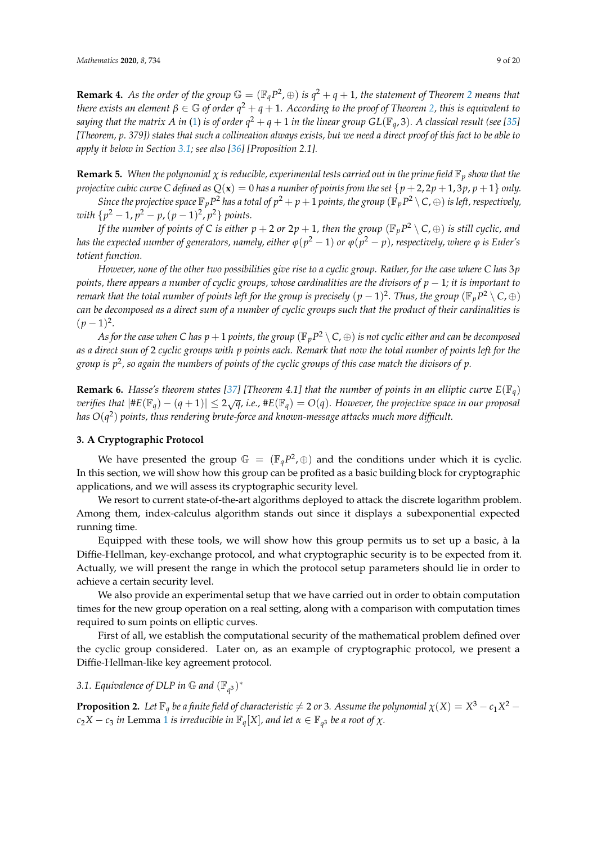**Remark 4.** As the order of the group  $\mathbb{G} = (\mathbb{F}_q P^2, \oplus)$  $\mathbb{G} = (\mathbb{F}_q P^2, \oplus)$  $\mathbb{G} = (\mathbb{F}_q P^2, \oplus)$  is  $q^2 + q + 1$ , the statement of Theorem 2 means that *there exists an element*  $\beta \in \mathbb{G}$  *of order*  $q^2 + q + 1$ *. According to the proof of Theorem [2,](#page-7-0) this is equivalent to saying that the matrix A in [\(1\)](#page-5-4) is of order*  $q^2+q+1$  *in the linear group*  $GL(\mathbb{F}_q,3)$ *. A classical result (see [\[35\]](#page-18-13) [Theorem, p. 379]) states that such a collineation always exists, but we need a direct proof of this fact to be able to apply it below in Section [3.1;](#page-8-1) see also [\[36\]](#page-18-14) [Proposition 2.1].*

**Remark 5.** *When the polynomial*  $\chi$  *is reducible, experimental tests carried out in the prime field*  $\mathbb{F}_p$  *show that the projective cubic curve* C *defined as*  $Q(x) = 0$  *has a number of points from the set*  $\{p+2, 2p+1, 3p, p+1\}$  *only.* 

*Since the projective space*  $\mathbb{F}_p P^2$  *has a total of*  $p^2 + p + 1$  *points, the group*  $(\mathbb{F}_p P^2 \setminus C, \oplus)$  *is left, respectively,*  $with \{p^2 - 1, p^2 - p, (p - 1)^2, p^2\}$  points.

*If the number of points of C is either*  $p + 2$  *or*  $2p + 1$ *, then the group*  $(\mathbb{F}_p P^2 \setminus C, \oplus)$  *is still cyclic, and has the expected number of generators, namely, either*  $\varphi(p^2-1)$  *<i>or*  $\varphi(p^2-p)$ *, respectively, where*  $\varphi$  *is Euler's totient function.*

*However, none of the other two possibilities give rise to a cyclic group. Rather, for the case where C has* 3*p points, there appears a number of cyclic groups, whose cardinalities are the divisors of p* − 1*; it is important to remark that the total number of points left for the group is precisely*  $(p-1)^2$ *. Thus, the group*  $(\mathbb{F}_p P^2 \setminus C,\oplus)$ *can be decomposed as a direct sum of a number of cyclic groups such that the product of their cardinalities is*  $(p-1)^2$ .

As for the case when C has  $p+1$  points, the group  $(\mathbb{F}_p P^2\setminus\subset,\oplus)$  is not cyclic either and can be decomposed *as a direct sum of* 2 *cyclic groups with p points each. Remark that now the total number of points left for the group is p*<sup>2</sup> *, so again the numbers of points of the cyclic groups of this case match the divisors of p.*

**Remark 6.** *Hasse's theorem states [\[37\]](#page-18-15)* [Theorem 4.1] that the number of points in an elliptic curve  $E(\mathbb{F}_q)$  $\text{vertices that } |#E(\mathbb{F}_q) - (q+1)| \leq 2\sqrt{q}, \text{ i.e., } #E(\mathbb{F}_q) = O(q).$  However, the projective space in our proposal *has O*(*q* 2 ) *points, thus rendering brute-force and known-message attacks much more difficult.*

#### <span id="page-8-0"></span>**3. A Cryptographic Protocol**

We have presented the group  $\mathbb{G} = (\mathbb{F}_q P^2, \oplus)$  and the conditions under which it is cyclic. In this section, we will show how this group can be profited as a basic building block for cryptographic applications, and we will assess its cryptographic security level.

We resort to current state-of-the-art algorithms deployed to attack the discrete logarithm problem. Among them, index-calculus algorithm stands out since it displays a subexponential expected running time.

Equipped with these tools, we will show how this group permits us to set up a basic, à la Diffie-Hellman, key-exchange protocol, and what cryptographic security is to be expected from it. Actually, we will present the range in which the protocol setup parameters should lie in order to achieve a certain security level.

We also provide an experimental setup that we have carried out in order to obtain computation times for the new group operation on a real setting, along with a comparison with computation times required to sum points on elliptic curves.

First of all, we establish the computational security of the mathematical problem defined over the cyclic group considered. Later on, as an example of cryptographic protocol, we present a Diffie-Hellman-like key agreement protocol.

## <span id="page-8-1"></span>3.1. Equivalence of DLP in  $\mathbb G$  and  $(\mathbb{F}_{q^3})^*$

<span id="page-8-2"></span>**Proposition 2.** Let  $\mathbb{F}_q$  be a finite field of characteristic  $\neq$  2 or 3. Assume the polynomial  $\chi(X) = X^3 - c_1 X^2 - c_2 X^2$  $c_2X - c_3$  *in* Lemma [1](#page-4-1) *is irreducible in*  $\mathbb{F}_q[X]$ *, and let*  $\alpha \in \mathbb{F}_{q^3}$  *be a root of*  $\chi$ *.*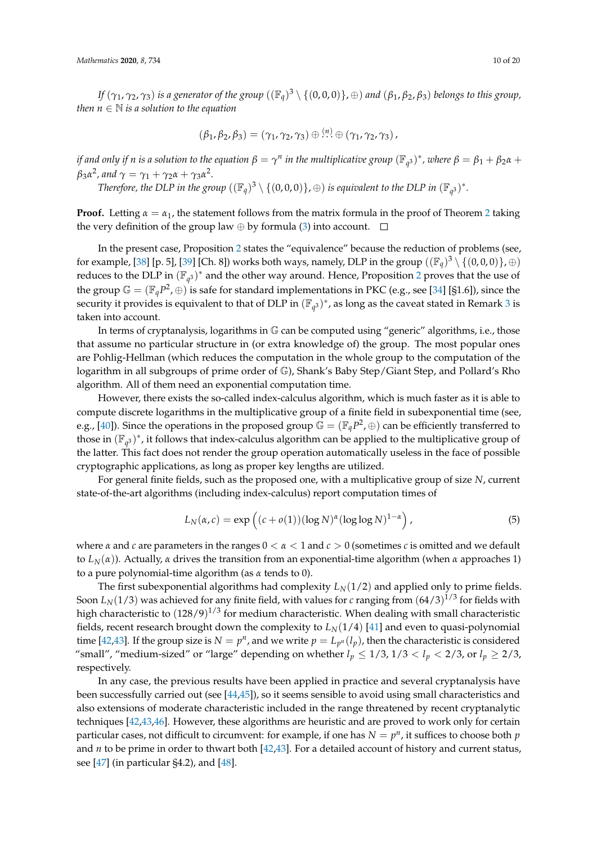*If* (*γ*1, *γ*2, *γ*3) *is a generator of the group* ((F*q*) <sup>3</sup> \ {(0, 0, 0)}, <sup>⊕</sup>) *and* (*β*1, *<sup>β</sup>*2, *<sup>β</sup>*3) *belongs to this group, then*  $n \in \mathbb{N}$  *is a solution to the equation* 

$$
(\beta_1, \beta_2, \beta_3) = (\gamma_1, \gamma_2, \gamma_3) \oplus \stackrel{(n)}{\dots} \oplus (\gamma_1, \gamma_2, \gamma_3),
$$

*if and only if n is a solution to the equation*  $\beta = \gamma^n$  *in the multiplicative group*  $(\mathbb{F}_{q^3})^*$ *, where*  $\beta = \beta_1 + \beta_2\alpha + \beta_3\beta$  $\beta_3$ *α*<sup>2</sup>, and  $\gamma = \gamma_1 + \gamma_2$ *α* +  $\gamma_3$ *α*<sup>2</sup>.

*Therefore, the DLP in the group*  $((\mathbb{F}_q)^3 \setminus \{(0,0,0)\}, \oplus)$  *is equivalent to the DLP in*  $(\mathbb{F}_{q^3})^*$ *.* 

**Proof.** Letting  $\alpha = \alpha_1$ , the statement follows from the matrix formula in the proof of Theorem [2](#page-7-0) taking the very definition of the group law  $\oplus$  by formula [\(3\)](#page-5-0) into account.  $\square$ 

In the present case, Proposition [2](#page-8-2) states the "equivalence" because the reduction of problems (see, for example, [\[38\]](#page-18-16) [p. 5], [\[39\]](#page-18-17) [Ch. 8]) works both ways, namely, DLP in the group  $((\mathbb{F}_q)^3 \setminus \{(0,0,0)\},\oplus)$ reduces to the DLP in  $(\mathbb{F}_{q^3})^*$  and the other way around. Hence, Proposition [2](#page-8-2) proves that the use of the group  $\mathbb{G} = (\mathbb{F}_q P^2, \oplus)$  is safe for standard implementations in PKC (e.g., see [\[34\]](#page-18-12) [§1.6]), since the security it provides is equivalent to that of DLP in  $(\mathbb{F}_{q^3})^*$  $(\mathbb{F}_{q^3})^*$  $(\mathbb{F}_{q^3})^*$ , as long as the caveat stated in Remark 3 is taken into account.

In terms of cryptanalysis, logarithms in  $\mathbb G$  can be computed using "generic" algorithms, i.e., those that assume no particular structure in (or extra knowledge of) the group. The most popular ones are Pohlig-Hellman (which reduces the computation in the whole group to the computation of the logarithm in all subgroups of prime order of G), Shank's Baby Step/Giant Step, and Pollard's Rho algorithm. All of them need an exponential computation time.

However, there exists the so-called index-calculus algorithm, which is much faster as it is able to compute discrete logarithms in the multiplicative group of a finite field in subexponential time (see, e.g., [\[40\]](#page-18-18)). Since the operations in the proposed group  $\mathbb{G} = (\mathbb{F}_q P^2, \oplus)$  can be efficiently transferred to those in  $(\mathbb{F}_{q^3})^*$ , it follows that index-calculus algorithm can be applied to the multiplicative group of the latter. This fact does not render the group operation automatically useless in the face of possible cryptographic applications, as long as proper key lengths are utilized.

For general finite fields, such as the proposed one, with a multiplicative group of size *N*, current state-of-the-art algorithms (including index-calculus) report computation times of

<span id="page-9-0"></span>
$$
L_N(\alpha, c) = \exp\left((c + o(1))(\log N)^{\alpha}(\log \log N)^{1-\alpha}\right),\tag{5}
$$

where *α* and *c* are parameters in the ranges 0 < *α* < 1 and *c* > 0 (sometimes *c* is omitted and we default to *L*<sub>*N*</sub>(*α*)). Actually, *α* drives the transition from an exponential-time algorithm (when *α* approaches 1) to a pure polynomial-time algorithm (as *α* tends to 0).

The first subexponential algorithms had complexity  $L_N(1/2)$  and applied only to prime fields. Soon  $L_N(1/3)$  was achieved for any finite field, with values for *c* ranging from  $(64/3)^{1/3}$  for fields with high characteristic to  $(128/9)^{1/3}$  for medium characteristic. When dealing with small characteristic fields, recent research brought down the complexity to  $L_N(1/4)$  [\[41\]](#page-18-19) and even to quasi-polynomial time [\[42](#page-18-20)[,43\]](#page-18-21). If the group size is  $N = p^n$ , and we write  $p = L_{p^n}(l_p)$ , then the characteristic is considered "small", "medium-sized" or "large" depending on whether  $l_p \leq 1/3$ ,  $1/3 < l_p < 2/3$ , or  $l_p \geq 2/3$ , respectively.

In any case, the previous results have been applied in practice and several cryptanalysis have been successfully carried out (see [\[44](#page-18-22)[,45\]](#page-18-23)), so it seems sensible to avoid using small characteristics and also extensions of moderate characteristic included in the range threatened by recent cryptanalytic techniques [\[42](#page-18-20)[,43](#page-18-21)[,46\]](#page-19-0). However, these algorithms are heuristic and are proved to work only for certain particular cases, not difficult to circumvent: for example, if one has  $N = p^n$ , it suffices to choose both  $p$ and *n* to be prime in order to thwart both [\[42](#page-18-20)[,43\]](#page-18-21). For a detailed account of history and current status, see  $[47]$  (in particular §4.2), and  $[48]$ .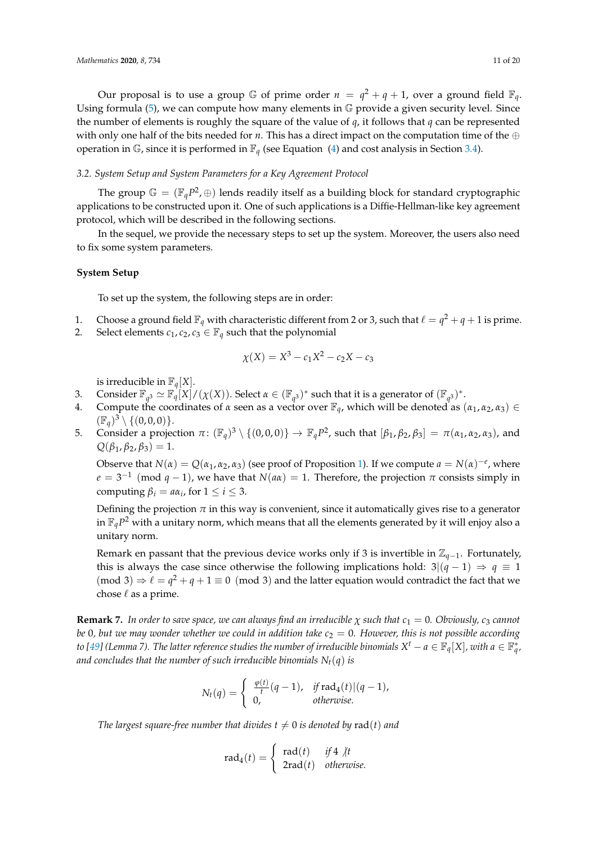Our proposal is to use a group  $\mathbb G$  of prime order  $n = q^2 + q + 1$ , over a ground field  $\mathbb F_q$ . Using formula  $(5)$ , we can compute how many elements in  $\mathbb{G}$  provide a given security level. Since the number of elements is roughly the square of the value of *q*, it follows that *q* can be represented with only one half of the bits needed for *n*. This has a direct impact on the computation time of the ⊕ operation in  $\mathbb{G}$ , since it is performed in  $\mathbb{F}_q$  (see Equation [\(4\)](#page-5-2) and cost analysis in Section [3.4\)](#page-11-0).

#### *3.2. System Setup and System Parameters for a Key Agreement Protocol*

The group  $\mathbb{G} = (\mathbb{F}_q P^2, \oplus)$  lends readily itself as a building block for standard cryptographic applications to be constructed upon it. One of such applications is a Diffie-Hellman-like key agreement protocol, which will be described in the following sections.

In the sequel, we provide the necessary steps to set up the system. Moreover, the users also need to fix some system parameters.

#### **System Setup**

To set up the system, the following steps are in order:

- 1. Choose a ground field  $\mathbb{F}_q$  with characteristic different from 2 or 3, such that  $\ell = q^2 + q + 1$  is prime.
- 2. Select elements  $c_1$ ,  $c_2$ ,  $c_3 \in \mathbb{F}_q$  such that the polynomial

$$
\chi(X) = X^3 - c_1 X^2 - c_2 X - c_3
$$

is irreducible in  $\mathbb{F}_q[X].$ 

- 3. Consider  $\mathbb{F}_q$ <sup>3</sup>  $\simeq \mathbb{F}_q[X]/(\chi(X))$ . Select  $\alpha \in (\mathbb{F}_{q^3})^*$  such that it is a generator of  $(\mathbb{F}_{q^3})^*$ .
- 4. Compute the coordinates of  $\alpha$  seen as a vector over  $\mathbb{F}_q$ , which will be denoted as  $(\alpha_1, \alpha_2, \alpha_3) \in$  $(\mathbb{F}_q)^3 \setminus \{ (0, 0, 0) \}.$
- 5. Consider a projection  $\pi$ :  $(\mathbb{F}_q)^3 \setminus \{(0,0,0)\} \to \mathbb{F}_q P^2$ , such that  $[\beta_1, \beta_2, \beta_3] = \pi(\alpha_1, \alpha_2, \alpha_3)$ , and  $Q(\beta_1, \beta_2, \beta_3) = 1.$

Observe that  $N(\alpha) = Q(\alpha_1, \alpha_2, \alpha_3)$  (see proof of Proposition [1\)](#page-6-0). If we compute  $a = N(\alpha)^{-e}$ , where  $e = 3^{-1} \pmod{q-1}$ , we have that  $N(a\alpha) = 1$ . Therefore, the projection  $\pi$  consists simply in computing  $\beta_i = a\alpha_i$ , for  $1 \leq i \leq 3$ .

Defining the projection  $\pi$  in this way is convenient, since it automatically gives rise to a generator in  $\mathbb{F}_q P^2$  with a unitary norm*,* which means that all the elements generated by it will enjoy also a unitary norm.

Remark en passant that the previous device works only if <sup>3</sup> is invertible in <sup>Z</sup>*q*−1. Fortunately, this is always the case since otherwise the following implications hold:  $3|(q-1) \Rightarrow q \equiv 1$ (mod 3)  $\Rightarrow$   $\ell = q^2 + q + 1 \equiv 0 \pmod{3}$  and the latter equation would contradict the fact that we chose  $\ell$  as a prime.

**Remark 7.** *In order to save space, we can always find an irreducible*  $\chi$  *such that*  $c_1 = 0$ *. Obviously,*  $c_3$  *cannot be* 0, but we may wonder whether we could in addition take  $c_2 = 0$ . However, this is not possible according *to [\[49\]](#page-19-3) (Lemma 7). The latter reference studies the number of irreducible binomials*  $X^t - a \in \mathbb{F}_q[X]$ *, with*  $a \in \mathbb{F}_q^*$ *, and concludes that the number of such irreducible binomials*  $N_t(q)$  *is* 

$$
N_t(q) = \begin{cases} \frac{\varphi(t)}{t}(q-1), & \text{if } \text{rad}_4(t) \mid (q-1), \\ 0, & \text{otherwise.} \end{cases}
$$

*The largest square-free number that divides*  $t \neq 0$  *is denoted by rad(t) and* 

$$
rad_4(t) = \begin{cases} rad(t) & if 4 \nmid t \\ 2rad(t) & otherwise. \end{cases}
$$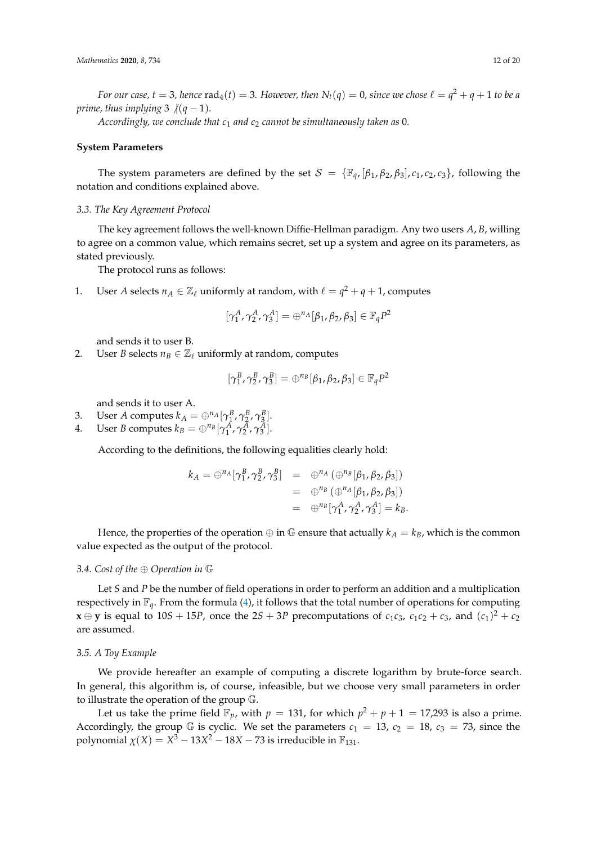*For our case, t*  $=$  *3, hence*  $\mathrm{rad}_4(t) =$  *3. However, then*  $N_t(q) = 0$ *, since we chose*  $\ell = q^2 + q + 1$  *to be a prime, thus implying* 3  $/(q - 1)$ *.* 

*Accordingly, we conclude that c*<sup>1</sup> *and c*<sup>2</sup> *cannot be simultaneously taken as* 0*.*

#### **System Parameters**

The system parameters are defined by the set  $S = {\mathbb{F}_q$ ,  $[\beta_1, \beta_2, \beta_3], c_1, c_2, c_3}$ , following the notation and conditions explained above.

#### *3.3. The Key Agreement Protocol*

The key agreement follows the well-known Diffie-Hellman paradigm. Any two users *A*, *B*, willing to agree on a common value, which remains secret, set up a system and agree on its parameters, as stated previously.

The protocol runs as follows:

1. User *A* selects  $n_A \in \mathbb{Z}_\ell$  uniformly at random, with  $\ell = q^2 + q + 1$ , computes

$$
[\gamma_1^A, \gamma_2^A, \gamma_3^A] = \bigoplus^{n_A} [\beta_1, \beta_2, \beta_3] \in \mathbb{F}_q P^2
$$

and sends it to user B.

2. User *B* selects  $n_B \in \mathbb{Z}_\ell$  uniformly at random, computes

$$
[\gamma_1^B, \gamma_2^B, \gamma_3^B] = \bigoplus^{n_B} [\beta_1, \beta_2, \beta_3] \in \mathbb{F}_q P^2
$$

and sends it to user A.

- 3. User *A* computes  $k_A = \bigoplus_{i=1}^{n_A} [\gamma_i^B, \gamma_i^B, \gamma_3^B].$
- 4. User *B* computes  $k_B = \bigoplus^{n_B} [\gamma_1^A, \gamma_2^A, \gamma_3^A].$

According to the definitions, the following equalities clearly hold:

$$
k_A = \bigoplus^{n_A} [\gamma_1^B, \gamma_2^B, \gamma_3^B] = \bigoplus^{n_A} (\bigoplus^{n_B} [\beta_1, \beta_2, \beta_3])
$$
  
= 
$$
\bigoplus^{n_B} (\bigoplus^{n_A} [\beta_1, \beta_2, \beta_3])
$$
  
= 
$$
\bigoplus^{n_B} [\gamma_1^A, \gamma_2^A, \gamma_3^A] = k_B.
$$

Hence, the properties of the operation  $\oplus$  in  $\mathbb G$  ensure that actually  $k_A = k_B$ , which is the common value expected as the output of the protocol.

#### <span id="page-11-0"></span>*3.4. Cost of the* <sup>⊕</sup> *Operation in* <sup>G</sup>

Let *S* and *P* be the number of field operations in order to perform an addition and a multiplication respectively in  $\mathbb{F}_q$ . From the formula [\(4\)](#page-5-2), it follows that the total number of operations for computing **x**  $\oplus$  **y** is equal to 10*S* + 15*P*, once the 2*S* + 3*P* precomputations of *c*<sub>1</sub>*c*<sub>3</sub>, *c*<sub>1</sub>*c*<sub>2</sub> + *c*<sub>3</sub>, and (*c*<sub>1</sub>)<sup>2</sup> + *c*<sub>2</sub> are assumed.

#### *3.5. A Toy Example*

We provide hereafter an example of computing a discrete logarithm by brute-force search. In general, this algorithm is, of course, infeasible, but we choose very small parameters in order to illustrate the operation of the group G.

Let us take the prime field  $\mathbb{F}_p$ , with  $p = 131$ , for which  $p^2 + p + 1 = 17,293$  is also a prime. Accordingly, the group G is cyclic. We set the parameters  $c_1 = 13$ ,  $c_2 = 18$ ,  $c_3 = 73$ , since the polynomial  $\chi(X) = X^3 - 13X^2 - 18X - 73$  is irreducible in  $\mathbb{F}_{131}$ .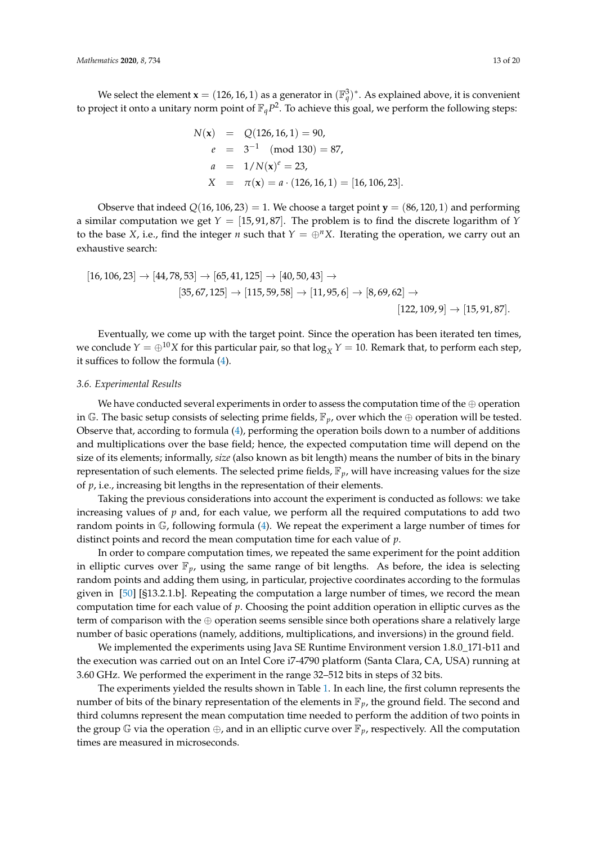We select the element **x** = (126, 16, 1) as a generator in  $(\mathbb{F}_q^3)^*$ . As explained above, it is convenient to project it onto a unitary norm point of  $\mathbb{F}_q P^2$ . To achieve this goal, we perform the following steps:

$$
N(\mathbf{x}) = Q(126, 16, 1) = 90,
$$
  
\n
$$
e = 3^{-1} \pmod{130} = 87,
$$
  
\n
$$
a = 1/N(\mathbf{x})^e = 23,
$$
  
\n
$$
X = \pi(\mathbf{x}) = a \cdot (126, 16, 1) = [16, 106, 23].
$$

Observe that indeed  $Q(16, 106, 23) = 1$ . We choose a target point **y** = (86, 120, 1) and performing a similar computation we get *Y* = [15, 91, 87]. The problem is to find the discrete logarithm of *Y* to the base *X*, i.e., find the integer *n* such that  $Y = \bigoplus^n X$ . Iterating the operation, we carry out an exhaustive search:

$$
[16, 106, 23] \rightarrow [44, 78, 53] \rightarrow [65, 41, 125] \rightarrow [40, 50, 43] \rightarrow
$$
  

$$
[35, 67, 125] \rightarrow [115, 59, 58] \rightarrow [11, 95, 6] \rightarrow [8, 69, 62] \rightarrow
$$
  

$$
[122, 109, 9] \rightarrow [15, 91, 87].
$$

Eventually, we come up with the target point. Since the operation has been iterated ten times, we conclude  $Y = \bigoplus^{10} X$  for this particular pair, so that  $\log_X Y = 10$ . Remark that, to perform each step, it suffices to follow the formula [\(4\)](#page-5-2).

#### *3.6. Experimental Results*

We have conducted several experiments in order to assess the computation time of the  $\oplus$  operation in G. The basic setup consists of selecting prime fields,  $\mathbb{F}_p$ , over which the  $\oplus$  operation will be tested. Observe that, according to formula [\(4\)](#page-5-2), performing the operation boils down to a number of additions and multiplications over the base field; hence, the expected computation time will depend on the size of its elements; informally, *size* (also known as bit length) means the number of bits in the binary representation of such elements. The selected prime fields,  $\mathbb{F}_p$ , will have increasing values for the size of *p*, i.e., increasing bit lengths in the representation of their elements.

Taking the previous considerations into account the experiment is conducted as follows: we take increasing values of *p* and, for each value, we perform all the required computations to add two random points in G, following formula [\(4\)](#page-5-2). We repeat the experiment a large number of times for distinct points and record the mean computation time for each value of *p*.

In order to compare computation times, we repeated the same experiment for the point addition in elliptic curves over  $\mathbb{F}_p$ , using the same range of bit lengths. As before, the idea is selecting random points and adding them using, in particular, projective coordinates according to the formulas given in [\[50\]](#page-19-4) [§13.2.1.b]. Repeating the computation a large number of times, we record the mean computation time for each value of *p*. Choosing the point addition operation in elliptic curves as the term of comparison with the  $\oplus$  operation seems sensible since both operations share a relatively large number of basic operations (namely, additions, multiplications, and inversions) in the ground field.

We implemented the experiments using Java SE Runtime Environment version 1.8.0\_171-b11 and the execution was carried out on an Intel Core i7-4790 platform (Santa Clara, CA, USA) running at 3.60 GHz. We performed the experiment in the range 32–512 bits in steps of 32 bits.

The experiments yielded the results shown in Table [1.](#page-13-0) In each line, the first column represents the number of bits of the binary representation of the elements in  $\mathbb{F}_p$ , the ground field. The second and third columns represent the mean computation time needed to perform the addition of two points in the group  $\mathbb G$  via the operation  $\oplus$ , and in an elliptic curve over  $\mathbb F_p$ , respectively. All the computation times are measured in microseconds.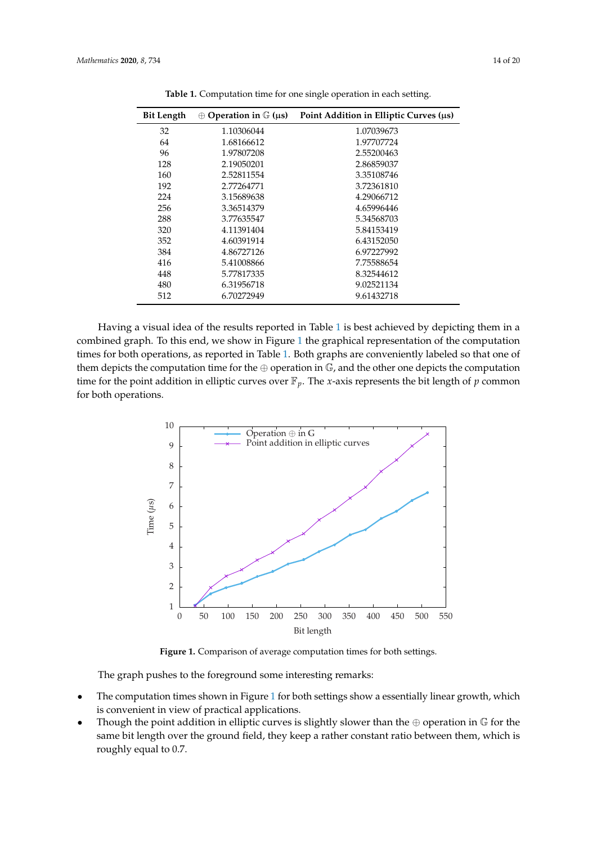<span id="page-13-0"></span>

| <b>Bit Length</b> | $\oplus$ Operation in $\mathbb{G}$ (µs) | Point Addition in Elliptic Curves ( $\mu$ s) |
|-------------------|-----------------------------------------|----------------------------------------------|
| 32                | 1.10306044                              | 1.07039673                                   |
| 64                | 1.68166612                              | 1.97707724                                   |
| 96                | 1.97807208                              | 2.55200463                                   |
| 128               | 2.19050201                              | 2.86859037                                   |
| 160               | 2.52811554                              | 3.35108746                                   |
| 192               | 2.77264771                              | 3.72361810                                   |
| 224               | 3.15689638                              | 4.29066712                                   |
| 256               | 3.36514379                              | 4.65996446                                   |
| 288               | 3.77635547                              | 5.34568703                                   |
| 320               | 4.11391404                              | 5.84153419                                   |
| 352               | 4.60391914                              | 6.43152050                                   |
| 384               | 4.86727126                              | 6.97227992                                   |
| 416               | 5.41008866                              | 7.75588654                                   |
| 448               | 5.77817335                              | 8.32544612                                   |
| 480               | 6.31956718                              | 9.02521134                                   |
| 512               | 6.70272949                              | 9.61432718                                   |
|                   |                                         |                                              |

**Table 1.** Computation time for one single operation in each setting.

Having a visual idea of the results reported in Table [1](#page-13-0) is best achieved by depicting them in a combined graph. To this end, we show in Figure [1](#page-13-1) the graphical representation of the computation times for both operations, as reported in Table [1.](#page-13-0) Both graphs are conveniently labeled so that one of them depicts the computation time for the  $\oplus$  operation in  $\mathbb{G}$ , and the other one depicts the computation time for the point addition in elliptic curves over  $\mathbb{F}_p$ . The *x*-axis represents the bit length of *p* common for both operations.

<span id="page-13-1"></span>

**Figure 1.** Comparison of average computation times for both settings.

The graph pushes to the foreground some interesting remarks:

- The computation times shown in Figure [1](#page-13-1) for both settings show a essentially linear growth, which is convenient in view of practical applications.
- Though the point addition in elliptic curves is slightly slower than the  $oplus$  operation in  $\mathbb G$  for the same bit length over the ground field, they keep a rather constant ratio between them, which is roughly equal to 0.7.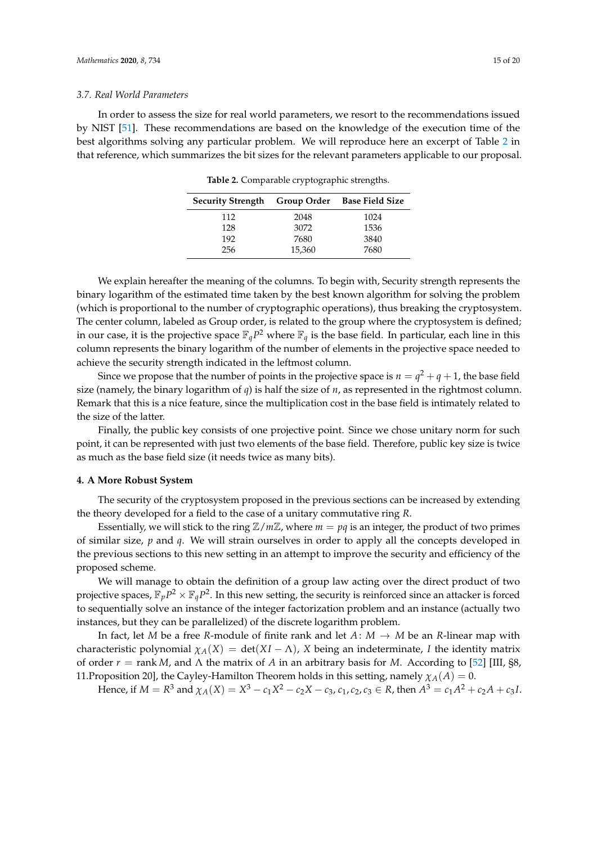#### *3.7. Real World Parameters*

<span id="page-14-1"></span>In order to assess the size for real world parameters, we resort to the recommendations issued by NIST [\[51\]](#page-19-5). These recommendations are based on the knowledge of the execution time of the best algorithms solving any particular problem. We will reproduce here an excerpt of Table [2](#page-14-1) in that reference, which summarizes the bit sizes for the relevant parameters applicable to our proposal.

**Security Strength Group Order Base Field Size** 112 2048 1024 128 3072 1536 192 7680 3840 256 15,360 7680

**Table 2.** Comparable cryptographic strengths.

We explain hereafter the meaning of the columns. To begin with, Security strength represents the binary logarithm of the estimated time taken by the best known algorithm for solving the problem (which is proportional to the number of cryptographic operations), thus breaking the cryptosystem. The center column, labeled as Group order, is related to the group where the cryptosystem is defined; in our case, it is the projective space  $\mathbb{F}_q P^2$  where  $\mathbb{F}_q$  is the base field. In particular, each line in this column represents the binary logarithm of the number of elements in the projective space needed to achieve the security strength indicated in the leftmost column.

Since we propose that the number of points in the projective space is  $n = q^2 + q + 1$ , the base field size (namely, the binary logarithm of *q*) is half the size of *n*, as represented in the rightmost column. Remark that this is a nice feature, since the multiplication cost in the base field is intimately related to the size of the latter.

Finally, the public key consists of one projective point. Since we chose unitary norm for such point, it can be represented with just two elements of the base field. Therefore, public key size is twice as much as the base field size (it needs twice as many bits).

#### <span id="page-14-0"></span>**4. A More Robust System**

The security of the cryptosystem proposed in the previous sections can be increased by extending the theory developed for a field to the case of a unitary commutative ring *R*.

Essentially, we will stick to the ring  $\mathbb{Z}/m\mathbb{Z}$ , where  $m = pq$  is an integer, the product of two primes of similar size, *p* and *q*. We will strain ourselves in order to apply all the concepts developed in the previous sections to this new setting in an attempt to improve the security and efficiency of the proposed scheme.

We will manage to obtain the definition of a group law acting over the direct product of two projective spaces,  $\mathbb{F}_pP^2\times\mathbb{F}_qP^2.$  In this new setting, the security is reinforced since an attacker is forced to sequentially solve an instance of the integer factorization problem and an instance (actually two instances, but they can be parallelized) of the discrete logarithm problem.

In fact, let *M* be a free *R*-module of finite rank and let  $A: M \rightarrow M$  be an *R*-linear map with characteristic polynomial  $\chi_A(X) = \det(XI - \Lambda)$ , *X* being an indeterminate, *I* the identity matrix of order *r* = rank *M*, and Λ the matrix of *A* in an arbitrary basis for *M*. According to [\[52\]](#page-19-6) [III, §8, 11.Proposition 20], the Cayley-Hamilton Theorem holds in this setting, namely  $\chi_A(A) = 0$ .

Hence, if  $M = R^3$  and  $\chi_A(X) = X^3 - c_1 X^2 - c_2 X - c_3$ ,  $c_1, c_2, c_3 \in R$ , then  $A^3 = c_1 A^2 + c_2 A + c_3 I$ .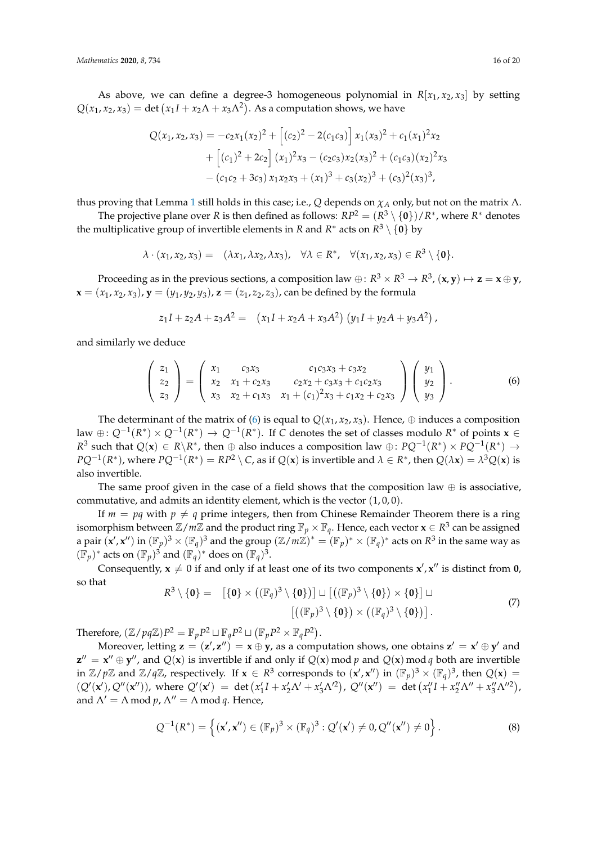As above, we can define a degree-3 homogeneous polynomial in  $R[x_1, x_2, x_3]$  by setting  $Q(x_1, x_2, x_3) = \det (x_1 I + x_2 \Lambda + x_3 \Lambda^2)$ . As a computation shows, we have

$$
Q(x_1, x_2, x_3) = -c_2x_1(x_2)^2 + \left[ (c_2)^2 - 2(c_1c_3) \right] x_1(x_3)^2 + c_1(x_1)^2x_2
$$
  
+ 
$$
\left[ (c_1)^2 + 2c_2 \right] (x_1)^2x_3 - (c_2c_3)x_2(x_3)^2 + (c_1c_3)(x_2)^2x_3
$$
  
- 
$$
(c_1c_2 + 3c_3)x_1x_2x_3 + (x_1)^3 + c_3(x_2)^3 + (c_3)^2(x_3)^3,
$$

thus proving that Lemma [1](#page-4-1) still holds in this case; i.e., *Q* depends on *χ<sup>A</sup>* only, but not on the matrix Λ.

The projective plane over *R* is then defined as follows:  $RP^2 = (R^3 \setminus \{0\})/R^*$ , where  $R^*$  denotes the multiplicative group of invertible elements in *R* and *R*<sup>\*</sup> acts on *R*<sup>3</sup> \ {0} by

$$
\lambda \cdot (x_1, x_2, x_3) = (\lambda x_1, \lambda x_2, \lambda x_3), \quad \forall \lambda \in \mathbb{R}^*, \quad \forall (x_1, x_2, x_3) \in \mathbb{R}^3 \setminus \{0\}.
$$

Proceeding as in the previous sections, a composition law  $\oplus$ :  $R^3 \times R^3 \to R^3$ ,  $(x, y) \mapsto z = x \oplus y$ ,  $$ 

$$
z_1I + z_2A + z_3A^2 = (x_1I + x_2A + x_3A^2)(y_1I + y_2A + y_3A^2),
$$

and similarly we deduce

<span id="page-15-0"></span>
$$
\begin{pmatrix} z_1 \ z_2 \ z_3 \end{pmatrix} = \begin{pmatrix} x_1 & c_3x_3 & c_1c_3x_3 + c_3x_2 \ x_2 & x_1 + c_2x_3 & c_2x_2 + c_3x_3 + c_1c_2x_3 \ x_3 & x_2 + c_1x_3 & x_1 + (c_1)^2x_3 + c_1x_2 + c_2x_3 \ y_3 \end{pmatrix} \begin{pmatrix} y_1 \ y_2 \ y_3 \end{pmatrix}.
$$
 (6)

The determinant of the matrix of [\(6\)](#page-15-0) is equal to  $Q(x_1, x_2, x_3)$ . Hence,  $\oplus$  induces a composition law ⊕:  $Q^{-1}(R^*) \times Q^{-1}(R^*)$  →  $Q^{-1}(R^*)$ . If *C* denotes the set of classes modulo  $R^*$  of points  $\mathbf{x} \in \mathbb{R}$  $R^3$  such that  $Q(x) \in R \setminus R^*$ , then  $\oplus$  also induces a composition law  $\oplus$ :  $PQ^{-1}(R^*) \times PQ^{-1}(R^*) \to$  $PQ^{-1}(R^*)$ , where  $PQ^{-1}(R^*) = RP^2 \setminus C$ , as if  $Q(x)$  is invertible and  $\lambda \in R^*$ , then  $Q(\lambda x) = \lambda^3 Q(x)$  is also invertible.

The same proof given in the case of a field shows that the composition law  $\oplus$  is associative, commutative, and admits an identity element, which is the vector  $(1,0,0)$ .

If  $m = pq$  with  $p \neq q$  prime integers, then from Chinese Remainder Theorem there is a ring isomorphism between  $\mathbb{Z}/m\mathbb{Z}$  and the product ring  $\mathbb{F}_p \times \mathbb{F}_q$ . Hence, each vector  $\mathbf{x} \in \mathbb{R}^3$  can be assigned a pair  $(x', x'')$  in  $(\mathbb{F}_p)^3 \times (\mathbb{F}_q)^3$  and the group  $(\mathbb{Z}/m\mathbb{Z})^* = (\mathbb{F}_p)^* \times (\mathbb{F}_q)^*$  acts on  $R^3$  in the same way as  $(\mathbb{F}_p)^*$  acts on  $(\mathbb{F}_p)^3$  and  $(\mathbb{F}_q)^*$  does on  $(\mathbb{F}_q)^3$ .

Consequently,  $x \neq 0$  if and only if at least one of its two components  $x'$ ,  $x''$  is distinct from **0**, so that

<span id="page-15-1"></span>
$$
R^3 \setminus \{\mathbf{0}\} = [\{\mathbf{0}\} \times ((\mathbb{F}_q)^3 \setminus \{\mathbf{0}\})] \sqcup [((\mathbb{F}_p)^3 \setminus \{\mathbf{0}\}) \times \{\mathbf{0}\}] \sqcup
$$
  

$$
[((\mathbb{F}_p)^3 \setminus \{\mathbf{0}\}) \times ((\mathbb{F}_q)^3 \setminus \{\mathbf{0}\})].
$$
 (7)

Therefore,  $(\mathbb{Z}/pq\mathbb{Z})P^2 = \mathbb{F}_pP^2 \sqcup \mathbb{F}_qP^2 \sqcup (\mathbb{F}_pP^2 \times \mathbb{F}_qP^2)$ .

Moreover, letting  $\mathbf{z} = (\mathbf{z}', \mathbf{z}'') = \mathbf{x} \oplus \mathbf{y}$ , as a computation shows, one obtains  $\mathbf{z}' = \mathbf{x}' \oplus \mathbf{y}'$  and  $z'' = x'' \oplus y''$ , and  $Q(x)$  is invertible if and only if  $Q(x)$  mod *p* and  $Q(x)$  mod *q* both are invertible in  $\mathbb{Z}/p\mathbb{Z}$  and  $\mathbb{Z}/q\mathbb{Z}$ , respectively. If  $\mathbf{x} \in \mathbb{R}^3$  corresponds to  $(\mathbf{x}', \mathbf{x}'')$  in  $(\mathbb{F}_p)^3 \times (\mathbb{F}_q)^3$ , then  $Q(\mathbf{x}) =$  $(Q'(\mathbf{x}'), Q''(\mathbf{x}''))$ , where  $Q'(\mathbf{x}') = \det(x'_1I + x'_2\Lambda' + x'_3\Lambda'^2)$ ,  $Q''(\mathbf{x}'') = \det(x''_1I + x''_2\Lambda'' + x''_3\Lambda''^2)$ , and  $\Lambda' = \Lambda \mod p$ ,  $\Lambda'' = \Lambda \mod q$ . Hence,

<span id="page-15-2"></span>
$$
Q^{-1}(R^*) = \left\{ (\mathbf{x}', \mathbf{x}'') \in (\mathbb{F}_p)^3 \times (\mathbb{F}_q)^3 : Q'(\mathbf{x}') \neq 0, Q''(\mathbf{x}'') \neq 0 \right\}.
$$
 (8)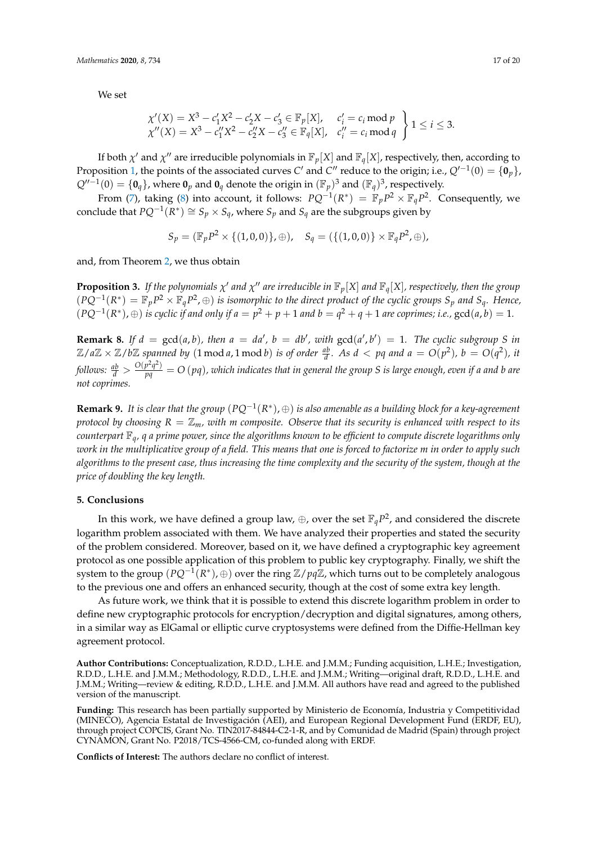We set

$$
\chi'(X) = X^3 - c'_1 X^2 - c'_2 X - c'_3 \in \mathbb{F}_p[X], \quad c'_i = c_i \mod p \\ \chi''(X) = X^3 - c''_1 X^2 - c''_2 X - c''_3 \in \mathbb{F}_q[X], \quad c''_i = c_i \mod q \quad \bigg\} \quad 1 \leq i \leq 3.
$$

If both  $\chi'$  and  $\chi''$  are irreducible polynomials in  $\mathbb{F}_p[X]$  and  $\mathbb{F}_q[X]$ , respectively, then, according to Proposition [1,](#page-6-0) the points of the associated curves *C'* and *C''* reduce to the origin; i.e.,  $Q'^{-1}(0) = \{0_p\}$ ,  $Q''^{-1}(0) = \{\mathbf{0}_q\}$ , where  $\mathbf{0}_p$  and  $\mathbf{0}_q$  denote the origin in  $(\mathbb{F}_p)^3$  and  $(\mathbb{F}_q)^3$ , respectively.

From [\(7\)](#page-15-1), taking [\(8\)](#page-15-2) into account, it follows:  $PQ^{-1}(R^*) = \mathbb{F}_p P^2 \times \mathbb{F}_q P^2$ . Consequently, we conclude that  $PQ^{-1}(R^*) \cong S_p \times S_q$ , where  $S_p$  and  $S_q$  are the subgroups given by

$$
S_p = (\mathbb{F}_p P^2 \times \{(1,0,0)\}, \oplus), \quad S_q = (\{(1,0,0)\} \times \mathbb{F}_q P^2, \oplus),
$$

and, from Theorem [2,](#page-7-0) we thus obtain

**Proposition 3.** If the polynomials  $\chi'$  and  $\chi''$  are irreducible in  $\mathbb{F}_p[X]$  and  $\mathbb{F}_q[X]$ , respectively, then the group  $(PQ^{-1}(R^*) = \mathbb{F}_p P^2 \times \mathbb{F}_q P^2$ , ⊕) is isomorphic to the direct product of the cyclic groups  $S_p$  and  $S_q$ . Hence,  $(PQ^{-1}(R^*), ⊕)$  *is cyclic if and only if a* =  $p^2 + p + 1$  *and b* =  $q^2 + q + 1$  *are coprimes; i.e.,*  $gcd(a, b) = 1$ *.* 

**Remark 8.** If  $d = \gcd(a, b)$ , then  $a = da'$ ,  $b = db'$ , with  $\gcd(a', b') = 1$ . The cyclic subgroup S in  $\mathbb{Z}/a\mathbb{Z} \times \mathbb{Z}/b\mathbb{Z}$  spanned by  $(1 \mod a, 1 \mod b)$  is of order  $\frac{ab}{d}$ . As  $d < pq$  and  $a = O(p^2)$ ,  $b = O(q^2)$ , it follows:  $\frac{ab}{d}>\frac{O(p^2q^2)}{pq}=O$  (pq), which indicates that in general the group S is large enough, even if a and b are *not coprimes.*

**Remark 9.** It is clear that the group  $(PQ^{-1}(R^*), \oplus)$  is also amenable as a building block for a key-agreement *protocol by choosing*  $R = \mathbb{Z}_m$ *, with m composite. Observe that its security is enhanced with respect to its counterpart* F*q, q a prime power, since the algorithms known to be efficient to compute discrete logarithms only work in the multiplicative group of a field. This means that one is forced to factorize m in order to apply such algorithms to the present case, thus increasing the time complexity and the security of the system, though at the price of doubling the key length.*

#### **5. Conclusions**

In this work, we have defined a group law,  $\oplus$ , over the set  $\mathbb{F}_q P^2$ , and considered the discrete logarithm problem associated with them. We have analyzed their properties and stated the security of the problem considered. Moreover, based on it, we have defined a cryptographic key agreement protocol as one possible application of this problem to public key cryptography. Finally, we shift the system to the group (*PQ*−<sup>1</sup> (*R* ∗ ), <sup>⊕</sup>) over the ring <sup>Z</sup>/*pq*Z, which turns out to be completely analogous to the previous one and offers an enhanced security, though at the cost of some extra key length.

As future work, we think that it is possible to extend this discrete logarithm problem in order to define new cryptographic protocols for encryption/decryption and digital signatures, among others, in a similar way as ElGamal or elliptic curve cryptosystems were defined from the Diffie-Hellman key agreement protocol.

**Author Contributions:** Conceptualization, R.D.D., L.H.E. and J.M.M.; Funding acquisition, L.H.E.; Investigation, R.D.D., L.H.E. and J.M.M.; Methodology, R.D.D., L.H.E. and J.M.M.; Writing—original draft, R.D.D., L.H.E. and J.M.M.; Writing—review & editing, R.D.D., L.H.E. and J.M.M. All authors have read and agreed to the published version of the manuscript.

**Funding:** This research has been partially supported by Ministerio de Economía, Industria y Competitividad (MINECO), Agencia Estatal de Investigación (AEI), and European Regional Development Fund (ERDF, EU), through project COPCIS, Grant No. TIN2017-84844-C2-1-R, and by Comunidad de Madrid (Spain) through project CYNAMON, Grant No. P2018/TCS-4566-CM, co-funded along with ERDF.

**Conflicts of Interest:** The authors declare no conflict of interest.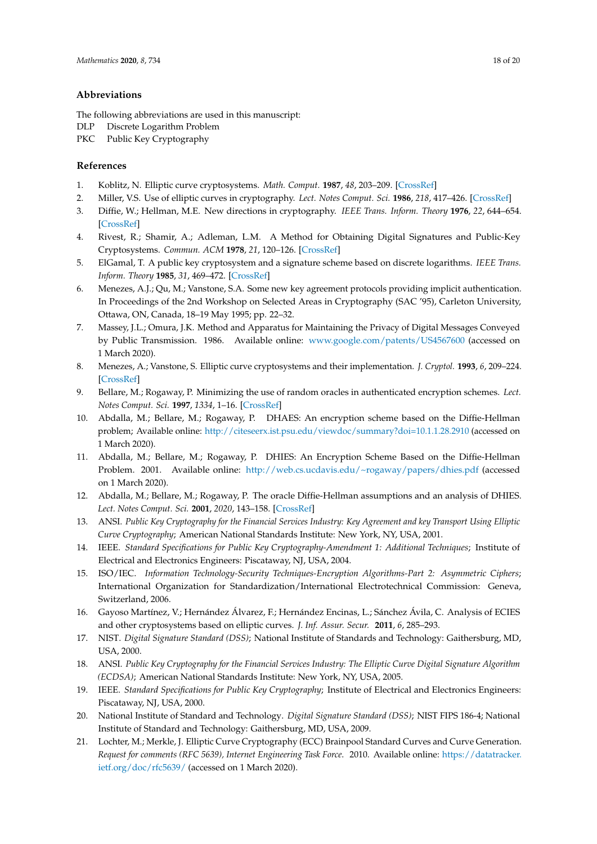#### **Abbreviations**

The following abbreviations are used in this manuscript:

- DLP Discrete Logarithm Problem
- PKC Public Key Cryptography

#### **References**

- <span id="page-17-0"></span>1. Koblitz, N. Elliptic curve cryptosystems. *Math. Comput.* **1987**, *48*, 203–209. [\[CrossRef\]](http://dx.doi.org/10.1090/S0025-5718-1987-0866109-5)
- <span id="page-17-1"></span>2. Miller, V.S. Use of elliptic curves in cryptography. *Lect. Notes Comput. Sci.* **1986**, *218*, 417–426. [\[CrossRef\]](http://dx.doi.org/10.1007/3-540-39799-X_31)
- <span id="page-17-2"></span>3. Diffie, W.; Hellman, M.E. New directions in cryptography. *IEEE Trans. Inform. Theory* **1976**, *22*, 644–654. [\[CrossRef\]](http://dx.doi.org/10.1109/TIT.1976.1055638)
- <span id="page-17-3"></span>4. Rivest, R.; Shamir, A.; Adleman, L.M. A Method for Obtaining Digital Signatures and Public-Key Cryptosystems. *Commun. ACM* **1978**, *21*, 120–126. [\[CrossRef\]](http://dx.doi.org/10.1145/359340.359342)
- <span id="page-17-4"></span>5. ElGamal, T. A public key cryptosystem and a signature scheme based on discrete logarithms. *IEEE Trans. Inform. Theory* **1985**, *31*, 469–472. [\[CrossRef\]](http://dx.doi.org/10.1109/TIT.1985.1057074)
- <span id="page-17-5"></span>6. Menezes, A.J.; Qu, M.; Vanstone, S.A. Some new key agreement protocols providing implicit authentication. In Proceedings of the 2nd Workshop on Selected Areas in Cryptography (SAC '95), Carleton University, Ottawa, ON, Canada, 18–19 May 1995; pp. 22–32.
- <span id="page-17-6"></span>7. Massey, J.L.; Omura, J.K. Method and Apparatus for Maintaining the Privacy of Digital Messages Conveyed by Public Transmission. 1986. Available online: <www.google.com/patents/US4567600> (accessed on 1 March 2020).
- <span id="page-17-7"></span>8. Menezes, A.; Vanstone, S. Elliptic curve cryptosystems and their implementation. *J. Cryptol.* **1993**, *6*, 209–224. [\[CrossRef\]](http://dx.doi.org/10.1007/BF00203817)
- <span id="page-17-8"></span>9. Bellare, M.; Rogaway, P. Minimizing the use of random oracles in authenticated encryption schemes. *Lect. Notes Comput. Sci.* **1997**, *1334*, 1–16. [\[CrossRef\]](http://dx.doi.org/10.1007/BFb0028457)
- <span id="page-17-9"></span>10. Abdalla, M.; Bellare, M.; Rogaway, P. DHAES: An encryption scheme based on the Diffie-Hellman problem; Available online: <http://citeseerx.ist.psu.edu/viewdoc/summary?doi=10.1.1.28.2910> (accessed on 1 March 2020).
- <span id="page-17-10"></span>11. Abdalla, M.; Bellare, M.; Rogaway, P. DHIES: An Encryption Scheme Based on the Diffie-Hellman Problem. 2001. Available online: <http://web.cs.ucdavis.edu/~rogaway/papers/dhies.pdf> (accessed on 1 March 2020).
- <span id="page-17-11"></span>12. Abdalla, M.; Bellare, M.; Rogaway, P. The oracle Diffie-Hellman assumptions and an analysis of DHIES. *Lect. Notes Comput. Sci.* **2001**, *2020*, 143–158. [\[CrossRef\]](http://dx.doi.org/10.1007/3-540-45353-9_12)
- <span id="page-17-12"></span>13. ANSI. *Public Key Cryptography for the Financial Services Industry: Key Agreement and key Transport Using Elliptic Curve Cryptography*; American National Standards Institute: New York, NY, USA, 2001.
- <span id="page-17-13"></span>14. IEEE. *Standard Specifications for Public Key Cryptography-Amendment 1: Additional Techniques*; Institute of Electrical and Electronics Engineers: Piscataway, NJ, USA, 2004.
- <span id="page-17-14"></span>15. ISO/IEC. *Information Technology-Security Techniques-Encryption Algorithms-Part 2: Asymmetric Ciphers*; International Organization for Standardization/International Electrotechnical Commission: Geneva, Switzerland, 2006.
- <span id="page-17-15"></span>16. Gayoso Martínez, V.; Hernández Álvarez, F.; Hernández Encinas, L.; Sánchez Ávila, C. Analysis of ECIES and other cryptosystems based on elliptic curves. *J. Inf. Assur. Secur.* **2011**, *6*, 285–293.
- <span id="page-17-16"></span>17. NIST. *Digital Signature Standard (DSS)*; National Institute of Standards and Technology: Gaithersburg, MD, USA, 2000.
- <span id="page-17-17"></span>18. ANSI. *Public Key Cryptography for the Financial Services Industry: The Elliptic Curve Digital Signature Algorithm (ECDSA)*; American National Standards Institute: New York, NY, USA, 2005.
- <span id="page-17-18"></span>19. IEEE. *Standard Specifications for Public Key Cryptography*; Institute of Electrical and Electronics Engineers: Piscataway, NJ, USA, 2000.
- <span id="page-17-19"></span>20. National Institute of Standard and Technology. *Digital Signature Standard (DSS)*; NIST FIPS 186-4; National Institute of Standard and Technology: Gaithersburg, MD, USA, 2009.
- <span id="page-17-20"></span>21. Lochter, M.; Merkle, J. Elliptic Curve Cryptography (ECC) Brainpool Standard Curves and Curve Generation. *Request for comments (RFC 5639), Internet Engineering Task Force*. 2010. Available online: [https://datatracker.](https://datatracker.ietf.org/doc/rfc5639/) [ietf.org/doc/rfc5639/](https://datatracker.ietf.org/doc/rfc5639/) (accessed on 1 March 2020).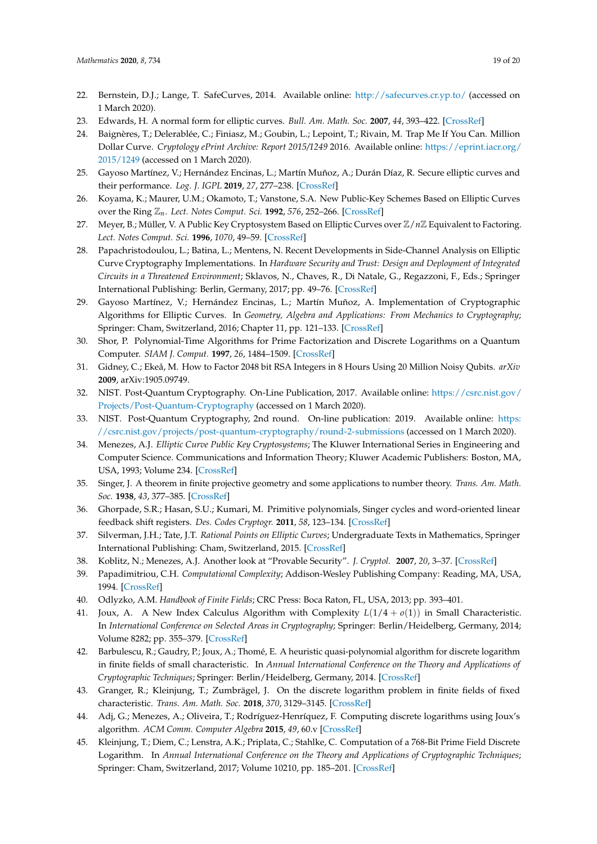- <span id="page-18-0"></span>22. Bernstein, D.J.; Lange, T. SafeCurves, 2014. Available online: <http://safecurves.cr.yp.to/> (accessed on 1 March 2020).
- <span id="page-18-1"></span>23. Edwards, H. A normal form for elliptic curves. *Bull. Am. Math. Soc.* **2007**, *44*, 393–422. [\[CrossRef\]](http://dx.doi.org/10.1090/S0273-0979-07-01153-6)
- <span id="page-18-2"></span>24. Baignères, T.; Delerablée, C.; Finiasz, M.; Goubin, L.; Lepoint, T.; Rivain, M. Trap Me If You Can. Million Dollar Curve. *Cryptology ePrint Archive: Report 2015/1249* 2016. Available online: [https://eprint.iacr.org/](https://eprint.iacr.org/2015/1249) [2015/1249](https://eprint.iacr.org/2015/1249) (accessed on 1 March 2020).
- <span id="page-18-3"></span>25. Gayoso Martínez, V.; Hernández Encinas, L.; Martín Muñoz, A.; Durán Díaz, R. Secure elliptic curves and their performance. *Log. J. IGPL* **2019**, *27*, 277–238. [\[CrossRef\]](http://dx.doi.org/10.1093/jigpal/jzy035)
- <span id="page-18-4"></span>26. Koyama, K.; Maurer, U.M.; Okamoto, T.; Vanstone, S.A. New Public-Key Schemes Based on Elliptic Curves over the Ring Z*n*. *Lect. Notes Comput. Sci.* **1992**, *576*, 252–266. [\[CrossRef\]](http://dx.doi.org/10.1007/3-540-46766-1_20)
- <span id="page-18-5"></span>27. Meyer, B.; Müller, V. A Public Key Cryptosystem Based on Elliptic Curves over Z/*n*Z Equivalent to Factoring. *Lect. Notes Comput. Sci.* **1996**, *1070*, 49–59. [\[CrossRef\]](http://dx.doi.org/10.1007/3-540-68339-9_5)
- <span id="page-18-6"></span>28. Papachristodoulou, L.; Batina, L.; Mentens, N. Recent Developments in Side-Channel Analysis on Elliptic Curve Cryptography Implementations. In *Hardware Security and Trust: Design and Deployment of Integrated Circuits in a Threatened Environment*; Sklavos, N., Chaves, R., Di Natale, G., Regazzoni, F., Eds.; Springer International Publishing: Berlin, Germany, 2017; pp. 49–76. [\[CrossRef\]](http://dx.doi.org/10.1007/978-3-319-44318-8_3)
- <span id="page-18-7"></span>29. Gayoso Martínez, V.; Hernández Encinas, L.; Martín Muñoz, A. Implementation of Cryptographic Algorithms for Elliptic Curves. In *Geometry, Algebra and Applications: From Mechanics to Cryptography*; Springer: Cham, Switzerland, 2016; Chapter 11, pp. 121–133. [\[CrossRef\]](http://dx.doi.org/10.1007/978-3-319-32085-4_11)
- <span id="page-18-8"></span>30. Shor, P. Polynomial-Time Algorithms for Prime Factorization and Discrete Logarithms on a Quantum Computer. *SIAM J. Comput.* **1997**, *26*, 1484–1509. [\[CrossRef\]](http://dx.doi.org/10.1137/S0097539795293172)
- <span id="page-18-9"></span>31. Gidney, C.; Ekeå, M. How to Factor 2048 bit RSA Integers in 8 Hours Using 20 Million Noisy Qubits. *arXiv* **2009**, arXiv:1905.09749.
- <span id="page-18-10"></span>32. NIST. Post-Quantum Cryptography. On-Line Publication, 2017. Available online: [https://csrc.nist.gov/](https://csrc.nist.gov/Projects/Post-Quantum-Cryptography) [Projects/Post-Quantum-Cryptography](https://csrc.nist.gov/Projects/Post-Quantum-Cryptography) (accessed on 1 March 2020).
- <span id="page-18-11"></span>33. NIST. Post-Quantum Cryptography, 2nd round. On-line publication: 2019. Available online: [https:](https://csrc.nist.gov/projects/post-quantum-cryptography/round-2-submissions) [//csrc.nist.gov/projects/post-quantum-cryptography/round-2-submissions](https://csrc.nist.gov/projects/post-quantum-cryptography/round-2-submissions) (accessed on 1 March 2020).
- <span id="page-18-12"></span>34. Menezes, A.J. *Elliptic Curve Public Key Cryptosystems*; The Kluwer International Series in Engineering and Computer Science. Communications and Information Theory; Kluwer Academic Publishers: Boston, MA, USA, 1993; Volume 234. [\[CrossRef\]](http://dx.doi.org/10.1007/978-1-4615-3198-2)
- <span id="page-18-13"></span>35. Singer, J. A theorem in finite projective geometry and some applications to number theory. *Trans. Am. Math. Soc.* **1938**, *43*, 377–385. [\[CrossRef\]](http://dx.doi.org/10.1090/S0002-9947-1938-1501951-4)
- <span id="page-18-14"></span>36. Ghorpade, S.R.; Hasan, S.U.; Kumari, M. Primitive polynomials, Singer cycles and word-oriented linear feedback shift registers. *Des. Codes Cryptogr.* **2011**, *58*, 123–134. [\[CrossRef\]](http://dx.doi.org/10.1007/s10623-010-9387-7)
- <span id="page-18-15"></span>37. Silverman, J.H.; Tate, J.T. *Rational Points on Elliptic Curves*; Undergraduate Texts in Mathematics, Springer International Publishing: Cham, Switzerland, 2015. [\[CrossRef\]](http://dx.doi.org/10.1007/978-3-319-18588-0)
- <span id="page-18-16"></span>38. Koblitz, N.; Menezes, A.J. Another look at "Provable Security". *J. Cryptol.* **2007**, *20*, 3–37. [\[CrossRef\]](http://dx.doi.org/10.1007/s00145-005-0432-z)
- <span id="page-18-17"></span>39. Papadimitriou, C.H. *Computational Complexity*; Addison-Wesley Publishing Company: Reading, MA, USA, 1994. [\[CrossRef\]](http://dx.doi.org/10.1145/235666.235668)
- <span id="page-18-18"></span>40. Odlyzko, A.M. *Handbook of Finite Fields*; CRC Press: Boca Raton, FL, USA, 2013; pp. 393–401.
- <span id="page-18-19"></span>41. Joux, A. A New Index Calculus Algorithm with Complexity *L*(1/4 + *o*(1)) in Small Characteristic. In *International Conference on Selected Areas in Cryptography*; Springer: Berlin/Heidelberg, Germany, 2014; Volume 8282; pp. 355–379. [\[CrossRef\]](http://dx.doi.org/10.1007/978-3-662-43414-7_18)
- <span id="page-18-20"></span>42. Barbulescu, R.; Gaudry, P.; Joux, A.; Thomé, E. A heuristic quasi-polynomial algorithm for discrete logarithm in finite fields of small characteristic. In *Annual International Conference on the Theory and Applications of Cryptographic Techniques*; Springer: Berlin/Heidelberg, Germany, 2014. [\[CrossRef\]](http://dx.doi.org/10.1007/978-3-642-55220-5_1)
- <span id="page-18-21"></span>43. Granger, R.; Kleinjung, T.; Zumbrägel, J. On the discrete logarithm problem in finite fields of fixed characteristic. *Trans. Am. Math. Soc.* **2018**, *370*, 3129–3145. [\[CrossRef\]](http://dx.doi.org/10.1090/tran/7027)
- <span id="page-18-22"></span>44. Adj, G.; Menezes, A.; Oliveira, T.; Rodríguez-Henríquez, F. Computing discrete logarithms using Joux's algorithm. *ACM Comm. Computer Algebra* **2015**, *49*, 60.v [\[CrossRef\]](http://dx.doi.org/10.1145/2815111.2815154)
- <span id="page-18-23"></span>45. Kleinjung, T.; Diem, C.; Lenstra, A.K.; Priplata, C.; Stahlke, C. Computation of a 768-Bit Prime Field Discrete Logarithm. In *Annual International Conference on the Theory and Applications of Cryptographic Techniques*; Springer: Cham, Switzerland, 2017; Volume 10210, pp. 185–201. [\[CrossRef\]](http://dx.doi.org/10.1007/978-3-319-56620-7_7)